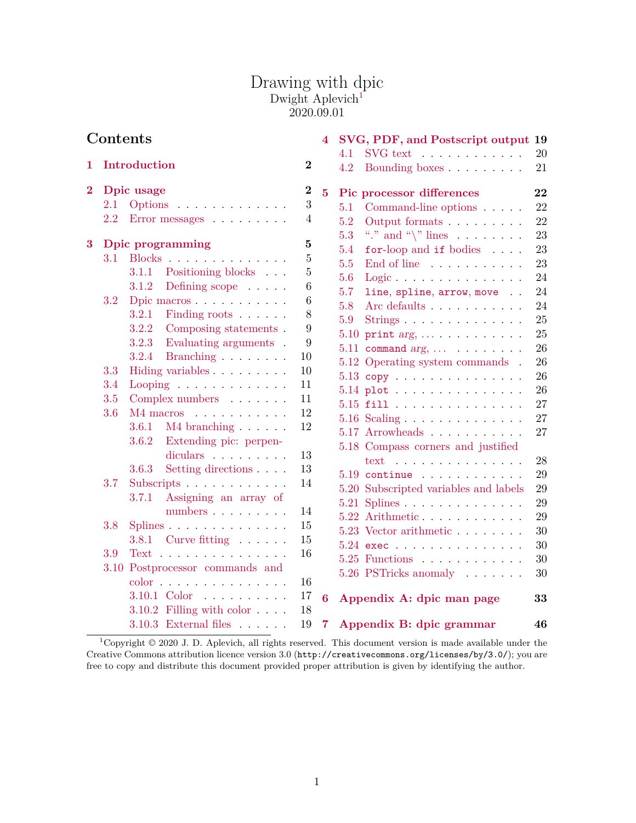## Drawing with dpic Dwight Aplevich<sup>[1](#page-0-0)</sup> 2020.09.01

| Contents       |                                                  |                |                         | 4 SVG, PDF, and Postscript output 19                                                                  |          |
|----------------|--------------------------------------------------|----------------|-------------------------|-------------------------------------------------------------------------------------------------------|----------|
| 1              | Introduction                                     | $\bf{2}$       |                         | $\text{SVG text} \quad \ldots \quad \ldots \quad \ldots \quad \ldots$<br>4.1<br>4.2<br>Bounding boxes | 20<br>21 |
| $\overline{2}$ | Dpic usage                                       | $\bf{2}$       | $\overline{5}$          | Pic processor differences                                                                             | 22       |
|                | 2.1<br>Options                                   | $\sqrt{3}$     |                         | 5.1<br>Command-line options                                                                           | 22       |
|                | 2.2<br>Error messages                            | 4              |                         | 5.2<br>Output formats                                                                                 | 22       |
|                |                                                  |                |                         | 5.3<br>"." and " $\langle$ " lines                                                                    | 23       |
| $\bf{3}$       | <b>Dpic programming</b>                          | $\bf{5}$       |                         | 5.4<br>for-loop and if bodies                                                                         | 23       |
|                | Blocks<br>3.1                                    | $\overline{5}$ |                         | 5.5<br>End of line                                                                                    | 23       |
|                | Positioning blocks $\hfill\ldots$<br>3.1.1       | $\bf 5$        |                         | 5.6<br>Logic $\ldots$                                                                                 | 24       |
|                | 3.1.2<br>Defining scope                          | $\,6$          |                         | 5.7<br>line, spline, arrow, move                                                                      | 24       |
|                | Dpic macros<br>3.2                               | 6              |                         | 5.8<br>Arc defaults                                                                                   | 24       |
|                | 3.2.1<br>Finding roots                           | 8              |                         | 5.9<br>Strings $\ldots \ldots \ldots \ldots$                                                          | 25       |
|                | 3.2.2<br>Composing statements.<br>3.2.3          | 9<br>9         |                         | $5.10$ print $arg, \ldots \ldots \ldots$                                                              | 25       |
|                | Evaluating arguments.<br>3.2.4                   | 10             |                         | 5.11 command $arg, \ldots$                                                                            | 26       |
|                | Branching<br>Hiding variables                    | 10             |                         | 5.12 Operating system commands.                                                                       | 26       |
|                | 3.3<br>3.4                                       | 11             |                         | $5.13$ copy                                                                                           | 26       |
|                | Looping<br>Complex numbers<br>3.5                | 11             |                         | $5.14$ plot                                                                                           | 26       |
|                | 3.6<br>M4 macros                                 | 12             |                         | $5.15$ fill                                                                                           | 27       |
|                | $3.6.1$ M4 branching $\ldots$                    | 12             |                         | $5.16$ Scaling $\ldots \ldots \ldots \ldots$                                                          | 27       |
|                | 3.6.2<br>Extending pic: perpen-                  |                |                         | $5.17$ Arrowheads                                                                                     | 27       |
|                | diculars                                         | 13             |                         | 5.18 Compass corners and justified                                                                    |          |
|                | Setting directions<br>3.6.3                      | 13             |                         | text                                                                                                  | 28       |
|                | 3.7<br>Subscripts                                | 14             |                         | $5.19$ continue                                                                                       | 29       |
|                | 3.7.1<br>Assigning an array of                   |                |                         | 5.20 Subscripted variables and labels                                                                 | $29\,$   |
|                | numbers                                          | 14             |                         | 5.21 Splines                                                                                          | 29       |
|                | Splines<br>3.8                                   | 15             |                         | $5.22$ Arithmetic                                                                                     | 29       |
|                | Curve fitting<br>3.8.1                           | 15             |                         | 5.23 Vector arithmetic                                                                                | 30       |
|                | $Text \ldots \ldots \ldots \ldots \ldots$<br>3.9 | 16             |                         | $5.24$ exections and $5.24$ exections are $2.1$                                                       | 30       |
|                | 3.10 Postprocessor commands and                  |                |                         | $5.25$ Functions                                                                                      | $30\,$   |
|                | $color \cdot \ldots \ldots \ldots \ldots$        | 16             |                         | 5.26 PSTricks anomaly                                                                                 | 30       |
|                | 3.10.1 Color                                     | 17             |                         |                                                                                                       |          |
|                | 3.10.2 Filling with color                        | 18             | $\bf{6}$                | Appendix A: dpic man page                                                                             | 33       |
|                | 3.10.3 External files $\ldots$                   | 19             | $\overline{\mathbf{7}}$ | Appendix B: dpic grammar                                                                              | 46       |

<span id="page-0-0"></span><sup>1</sup>Copyright © 2020 J. D. Aplevich, all rights reserved. This document version is made available under the Creative Commons attribution licence version 3.0 (http://creativecommons.org/licenses/by/3.0/); you are free to copy and distribute this document provided proper attribution is given by identifying the author.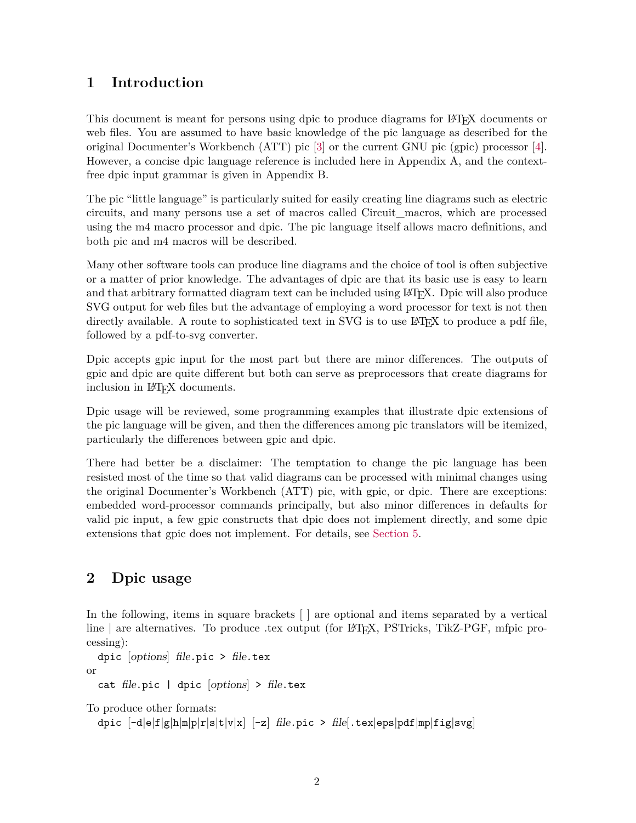# <span id="page-1-0"></span>**1 Introduction**

This document is meant for persons using dpic to produce diagrams for LATEX documents or web files. You are assumed to have basic knowledge of the pic language as described for the original Documenter's Workbench (ATT) pic [\[3\]](#page-30-0) or the current GNU pic (gpic) processor [\[4\]](#page-30-1). However, a concise dpic language reference is included here in Appendix A, and the contextfree dpic input grammar is given in Appendix B.

The pic "little language" is particularly suited for easily creating line diagrams such as electric circuits, and many persons use a set of macros called Circuit\_macros, which are processed using the m4 macro processor and dpic. The pic language itself allows macro definitions, and both pic and m4 macros will be described.

Many other software tools can produce line diagrams and the choice of tool is often subjective or a matter of prior knowledge. The advantages of dpic are that its basic use is easy to learn and that arbitrary formatted diagram text can be included using LAT<sub>EX</sub>. Dpic will also produce SVG output for web files but the advantage of employing a word processor for text is not then directly available. A route to sophisticated text in SVG is to use LAT<sub>EX</sub> to produce a pdf file, followed by a pdf-to-svg converter.

Dpic accepts gpic input for the most part but there are minor differences. The outputs of gpic and dpic are quite different but both can serve as preprocessors that create diagrams for inclusion in LAT<sub>EX</sub> documents.

Dpic usage will be reviewed, some programming examples that illustrate dpic extensions of the pic language will be given, and then the differences among pic translators will be itemized, particularly the differences between gpic and dpic.

There had better be a disclaimer: The temptation to change the pic language has been resisted most of the time so that valid diagrams can be processed with minimal changes using the original Documenter's Workbench (ATT) pic, with gpic, or dpic. There are exceptions: embedded word-processor commands principally, but also minor differences in defaults for valid pic input, a few gpic constructs that dpic does not implement directly, and some dpic extensions that gpic does not implement. For details, see [Section 5.](#page-21-0)

# <span id="page-1-1"></span>**2 Dpic usage**

In the following, items in square brackets [ ] are optional and items separated by a vertical line | are alternatives. To produce .tex output (for L<sup>AT</sup>EX, PSTricks, TikZ-PGF, mfpic processing):

```
dpic [options] file.pic > file.tex
```
or

cat file.pic  $|$  dpic  $|$ options $|$  > file.tex

To produce other formats:

```
dpic [-d]e|f|g|h|m|p|r|s|t|v|x] [-z] file.pic > file[.tex|eps|pdf|mp|fig|svg]
```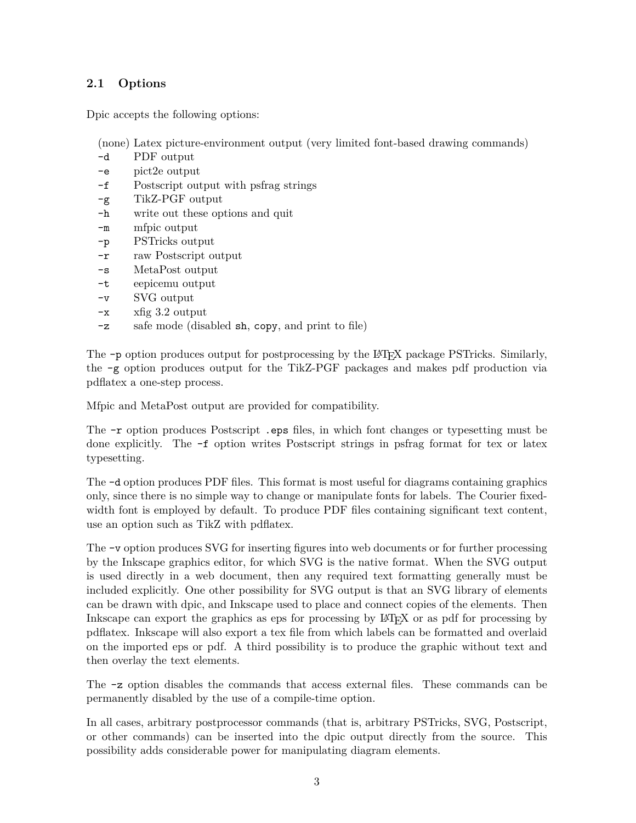## <span id="page-2-0"></span>**2.1 Options**

Dpic accepts the following options:

(none) Latex picture-environment output (very limited font-based drawing commands)

- -d PDF output
- -e pict2e output
- -f Postscript output with psfrag strings
- -g TikZ-PGF output
- -h write out these options and quit
- -m mfpic output
- -p PSTricks output
- -r raw Postscript output
- -s MetaPost output
- -t eepicemu output
- -v SVG output
- -x xfig 3.2 output
- -z safe mode (disabled sh, copy, and print to file)

The -p option produces output for postprocessing by the LATEX package PSTricks. Similarly, the -g option produces output for the TikZ-PGF packages and makes pdf production via pdflatex a one-step process.

Mfpic and MetaPost output are provided for compatibility.

The -r option produces Postscript .eps files, in which font changes or typesetting must be done explicitly. The -f option writes Postscript strings in psfrag format for tex or latex typesetting.

The -d option produces PDF files. This format is most useful for diagrams containing graphics only, since there is no simple way to change or manipulate fonts for labels. The Courier fixedwidth font is employed by default. To produce PDF files containing significant text content, use an option such as TikZ with pdflatex.

The -v option produces SVG for inserting figures into web documents or for further processing by the Inkscape graphics editor, for which SVG is the native format. When the SVG output is used directly in a web document, then any required text formatting generally must be included explicitly. One other possibility for SVG output is that an SVG library of elements can be drawn with dpic, and Inkscape used to place and connect copies of the elements. Then Inkscape can export the graphics as eps for processing by LATEX or as pdf for processing by pdflatex. Inkscape will also export a tex file from which labels can be formatted and overlaid on the imported eps or pdf. A third possibility is to produce the graphic without text and then overlay the text elements.

The -z option disables the commands that access external files. These commands can be permanently disabled by the use of a compile-time option.

In all cases, arbitrary postprocessor commands (that is, arbitrary PSTricks, SVG, Postscript, or other commands) can be inserted into the dpic output directly from the source. This possibility adds considerable power for manipulating diagram elements.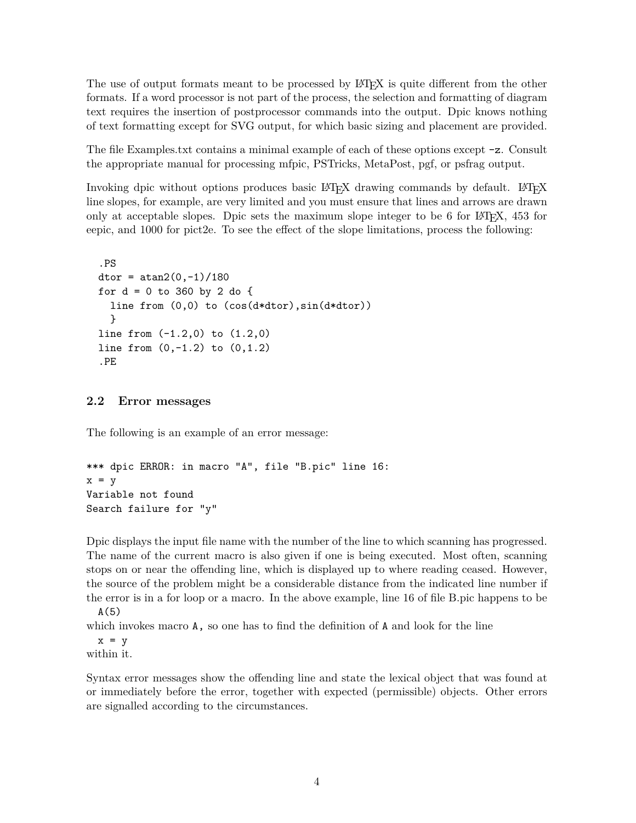The use of output formats meant to be processed by LAT<sub>EX</sub> is quite different from the other formats. If a word processor is not part of the process, the selection and formatting of diagram text requires the insertion of postprocessor commands into the output. Dpic knows nothing of text formatting except for SVG output, for which basic sizing and placement are provided.

The file Examples.txt contains a minimal example of each of these options except -z. Consult the appropriate manual for processing mfpic, PSTricks, MetaPost, pgf, or psfrag output.

Invoking dpic without options produces basic LAT<sub>E</sub>X drawing commands by default. LAT<sub>E</sub>X line slopes, for example, are very limited and you must ensure that lines and arrows are drawn only at acceptable slopes. Dpic sets the maximum slope integer to be 6 for LAT<sub>E</sub>X,  $453$  for eepic, and 1000 for pict2e. To see the effect of the slope limitations, process the following:

```
.PS
\text{dtor} = \text{atan2}(0,-1)/180for d = 0 to 360 by 2 do {
  line from (0,0) to (cos(d*dtor),sin(d*dtor))
  }
line from (-1.2,0) to (1.2,0)
line from (0,-1.2) to (0,1.2)
.PE
```
## <span id="page-3-0"></span>**2.2 Error messages**

The following is an example of an error message:

```
*** dpic ERROR: in macro "A", file "B.pic" line 16:
x = yVariable not found
Search failure for "y"
```
Dpic displays the input file name with the number of the line to which scanning has progressed. The name of the current macro is also given if one is being executed. Most often, scanning stops on or near the offending line, which is displayed up to where reading ceased. However, the source of the problem might be a considerable distance from the indicated line number if the error is in a for loop or a macro. In the above example, line 16 of file B.pic happens to be  $A(5)$ 

which invokes macro **A**, so one has to find the definition of **A** and look for the line

 $x = y$ 

within it.

Syntax error messages show the offending line and state the lexical object that was found at or immediately before the error, together with expected (permissible) objects. Other errors are signalled according to the circumstances.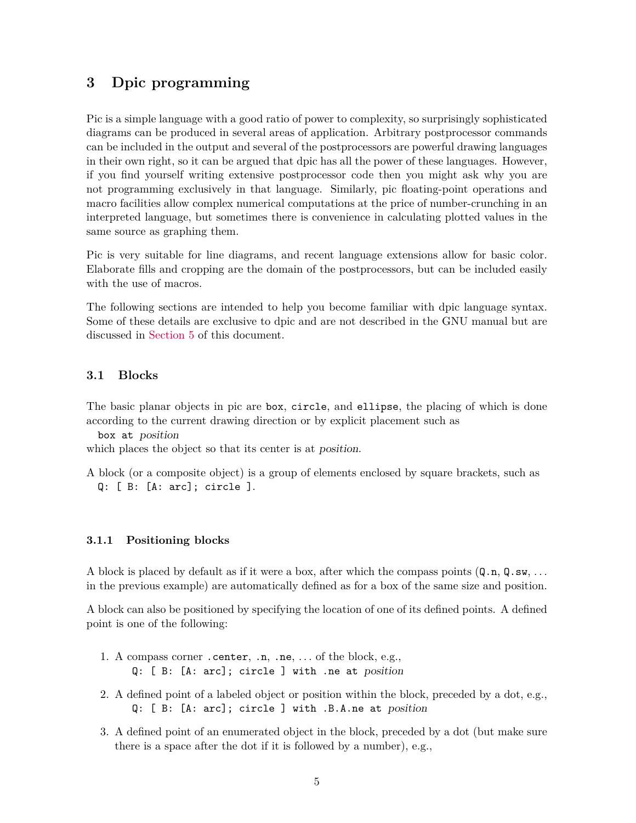## <span id="page-4-0"></span>**3 Dpic programming**

Pic is a simple language with a good ratio of power to complexity, so surprisingly sophisticated diagrams can be produced in several areas of application. Arbitrary postprocessor commands can be included in the output and several of the postprocessors are powerful drawing languages in their own right, so it can be argued that dpic has all the power of these languages. However, if you find yourself writing extensive postprocessor code then you might ask why you are not programming exclusively in that language. Similarly, pic floating-point operations and macro facilities allow complex numerical computations at the price of number-crunching in an interpreted language, but sometimes there is convenience in calculating plotted values in the same source as graphing them.

Pic is very suitable for line diagrams, and recent language extensions allow for basic color. Elaborate fills and cropping are the domain of the postprocessors, but can be included easily with the use of macros.

The following sections are intended to help you become familiar with dpic language syntax. Some of these details are exclusive to dpic and are not described in the GNU manual but are discussed in [Section 5](#page-21-0) of this document.

#### <span id="page-4-1"></span>**3.1 Blocks**

The basic planar objects in pic are box, circle, and ellipse, the placing of which is done according to the current drawing direction or by explicit placement such as

box at position

which places the object so that its center is at *position*.

A block (or a composite object) is a group of elements enclosed by square brackets, such as Q: [ B: [A: arc]; circle ].

#### <span id="page-4-2"></span>**3.1.1 Positioning blocks**

A block is placed by default as if it were a box, after which the compass points (Q.n, Q.sw, *. . .* in the previous example) are automatically defined as for a box of the same size and position.

A block can also be positioned by specifying the location of one of its defined points. A defined point is one of the following:

- 1. A compass corner .center, .n, .ne, *. . .* of the block, e.g., Q: [ B: [A: arc]; circle ] with .ne at position
- 2. A defined point of a labeled object or position within the block, preceded by a dot, e.g., Q: [ B: [A: arc]; circle ] with .B.A.ne at position
- 3. A defined point of an enumerated object in the block, preceded by a dot (but make sure there is a space after the dot if it is followed by a number), e.g.,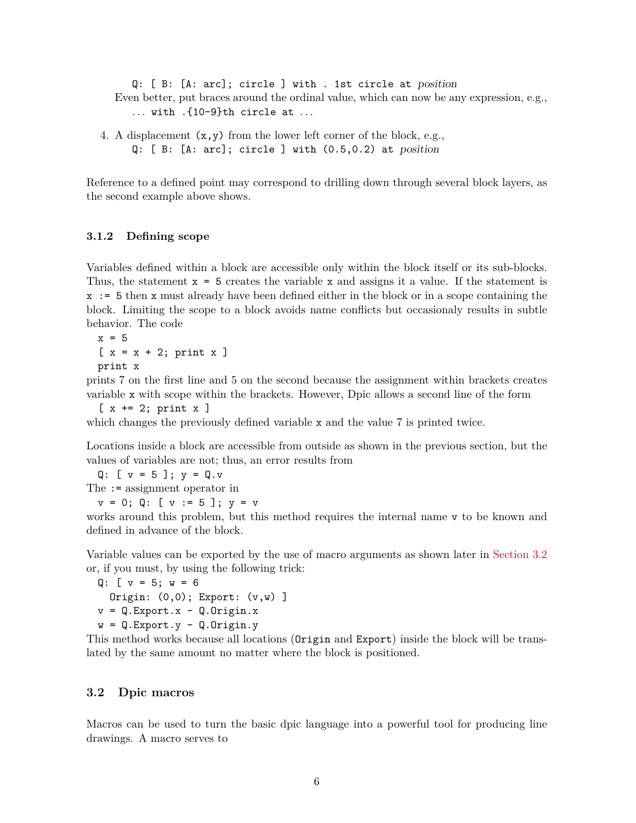Q: [ B: [A: arc]; circle ] with . 1st circle at position Even better, put braces around the ordinal value, which can now be any expression, e.g., *. . .* with .{10-9}th circle at *. . .*

4. A displacement  $(x, y)$  from the lower left corner of the block, e.g., Q: [ B: [A: arc]; circle ] with (0.5,0.2) at position

Reference to a defined point may correspond to drilling down through several block layers, as the second example above shows.

#### <span id="page-5-0"></span>**3.1.2 Defining scope**

Variables defined within a block are accessible only within the block itself or its sub-blocks. Thus, the statement  $x = 5$  creates the variable x and assigns it a value. If the statement is x := 5 then x must already have been defined either in the block or in a scope containing the block. Limiting the scope to a block avoids name conflicts but occasionaly results in subtle behavior. The code

 $x = 5$  $[x = x + 2; print x]$ print x

prints 7 on the first line and 5 on the second because the assignment within brackets creates variable x with scope within the brackets. However, Dpic allows a second line of the form

 $[x \leftarrow 2; \text{print } x]$ 

which changes the previously defined variable x and the value 7 is printed twice.

Locations inside a block are accessible from outside as shown in the previous section, but the values of variables are not; thus, an error results from

Q:  $[v = 5]$ ;  $y = Q.v$ The := assignment operator in

 $v = 0$ ; Q: [  $v := 5$  ];  $y = v$ 

works around this problem, but this method requires the internal name v to be known and defined in advance of the block.

Variable values can be exported by the use of macro arguments as shown later in [Section 3.2](#page-5-1) or, if you must, by using the following trick:

```
Q: [v = 5; w = 6]Origin: (0,0); Export: (v,w) ]
v = Q.Export.x - Q.Drigin.xw = Q. Export. y - Q. Origin. y
```
This method works because all locations (Origin and Export) inside the block will be translated by the same amount no matter where the block is positioned.

#### <span id="page-5-1"></span>**3.2 Dpic macros**

Macros can be used to turn the basic dpic language into a powerful tool for producing line drawings. A macro serves to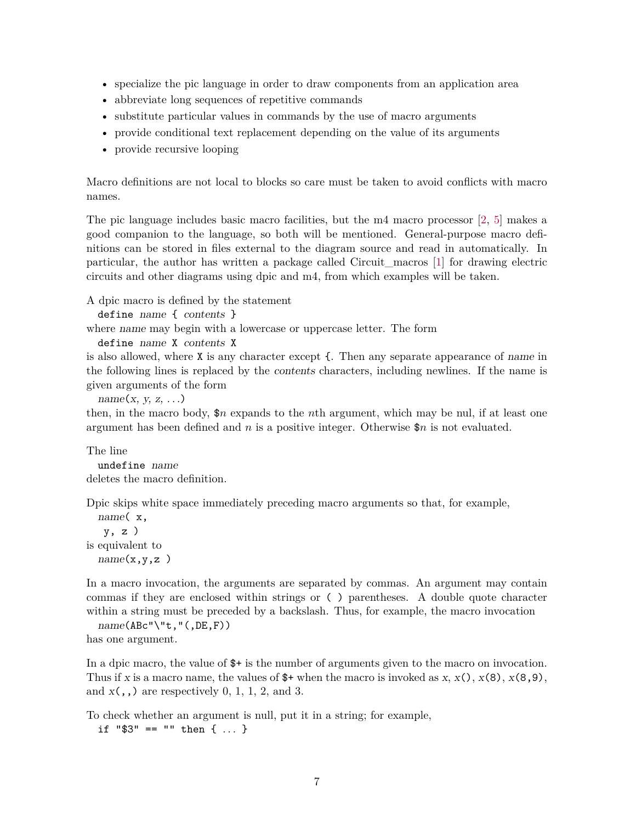- specialize the pic language in order to draw components from an application area
- abbreviate long sequences of repetitive commands
- substitute particular values in commands by the use of macro arguments
- provide conditional text replacement depending on the value of its arguments
- provide recursive looping

Macro definitions are not local to blocks so care must be taken to avoid conflicts with macro names.

The pic language includes basic macro facilities, but the m4 macro processor [\[2,](#page-30-2) [5\]](#page-31-0) makes a good companion to the language, so both will be mentioned. General-purpose macro definitions can be stored in files external to the diagram source and read in automatically. In particular, the author has written a package called Circuit\_macros [\[1\]](#page-30-3) for drawing electric circuits and other diagrams using dpic and m4, from which examples will be taken.

A dpic macro is defined by the statement

```
define name { contents }
```
where name may begin with a lowercase or uppercase letter. The form

```
define name X contents X
```
is also allowed, where X is any character except {. Then any separate appearance of name in the following lines is replaced by the contents characters, including newlines. If the name is given arguments of the form

```
name(x, y, z, \ldots)
```
then, in the macro body, \$*n* expands to the *n*th argument, which may be nul, if at least one argument has been defined and *n* is a positive integer. Otherwise \$*n* is not evaluated.

The line undefine name

deletes the macro definition.

Dpic skips white space immediately preceding macro arguments so that, for example,

name( x, y, z ) is equivalent to  $name(x, y, z)$ 

In a macro invocation, the arguments are separated by commas. An argument may contain commas if they are enclosed within strings or ( ) parentheses. A double quote character within a string must be preceded by a backslash. Thus, for example, the macro invocation

```
name(ABC")<sup>t</sup>,"(,DE,F))
has one argument.
```
In a dpic macro, the value of \$+ is the number of arguments given to the macro on invocation. Thus if x is a macro name, the values of  $\hat{\mathbf{s}}$ + when the macro is invoked as x, x(), x(8), x(8,9), and  $x($ ,  $)$  are respectively 0, 1, 1, 2, and 3.

To check whether an argument is null, put it in a string; for example,

if "\$3" == "" then { *. . .* }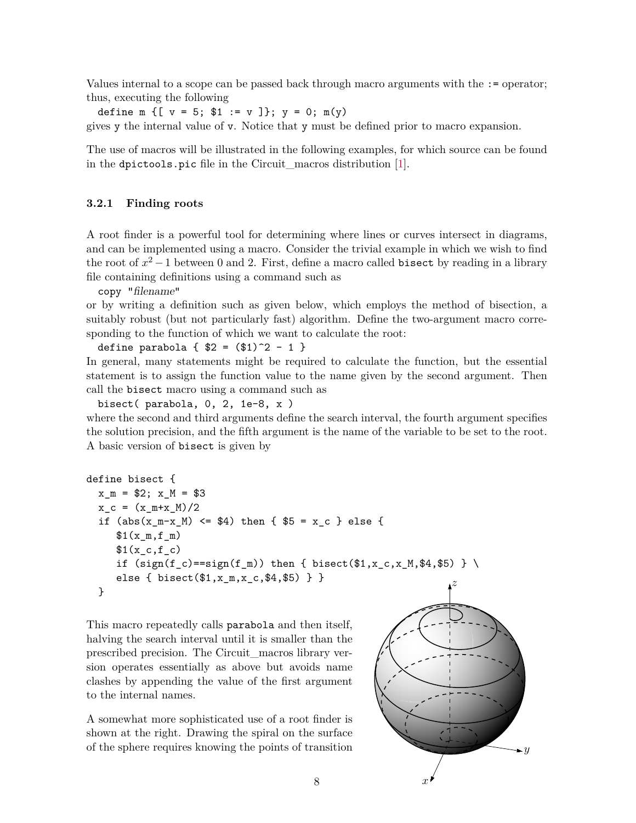Values internal to a scope can be passed back through macro arguments with the := operator; thus, executing the following

define m  $\{$  [ v = 5; \$1 := v ]}; y = 0; m(y)

gives y the internal value of v. Notice that y must be defined prior to macro expansion.

The use of macros will be illustrated in the following examples, for which source can be found in the dpictools.pic file in the Circuit\_macros distribution [\[1\]](#page-30-3).

#### <span id="page-7-0"></span>**3.2.1 Finding roots**

A root finder is a powerful tool for determining where lines or curves intersect in diagrams, and can be implemented using a macro. Consider the trivial example in which we wish to find the root of  $x^2 - 1$  between 0 and 2. First, define a macro called bisect by reading in a library file containing definitions using a command such as

copy "filename"

or by writing a definition such as given below, which employs the method of bisection, a suitably robust (but not particularly fast) algorithm. Define the two-argument macro corresponding to the function of which we want to calculate the root:

define parabola {  $$2 = ($1)^2 - 1$  } In general, many statements might be required to calculate the function, but the essential statement is to assign the function value to the name given by the second argument. Then call the bisect macro using a command such as

bisect( parabola, 0, 2, 1e-8, x ) where the second and third arguments define the search interval, the fourth argument specifies the solution precision, and the fifth argument is the name of the variable to be set to the root. A basic version of bisect is given by

```
define bisect {
 x_{m} = $2; x_{M} = $3x_c = (x_m+x_M)/2if (abs(x_m-x_M) \leq $4) then { $5 = x_c } else {
     $1(x_m,f_m)$1(x_c,f_c)if (sign(f_c)=sign(f_m)) then { bisect($1,x_c,x_M,$4,$5) } \
     else { bisect($1,x_m,x_c,$4,$5) } }
 }
                                                                z
```
This macro repeatedly calls parabola and then itself, halving the search interval until it is smaller than the prescribed precision. The Circuit\_macros library version operates essentially as above but avoids name clashes by appending the value of the first argument to the internal names.

A somewhat more sophisticated use of a root finder is shown at the right. Drawing the spiral on the surface of the sphere requires knowing the points of transition

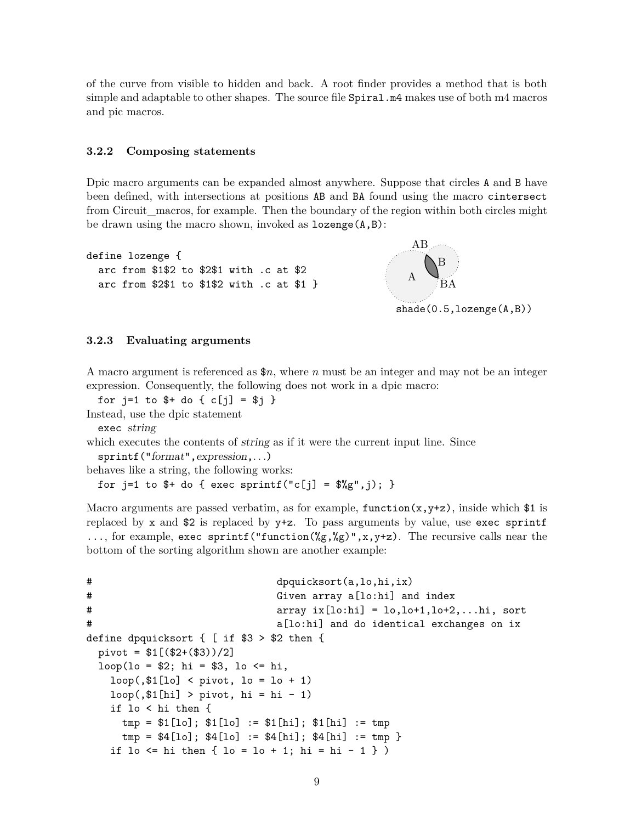of the curve from visible to hidden and back. A root finder provides a method that is both simple and adaptable to other shapes. The source file Spiral.m4 makes use of both m4 macros and pic macros.

#### <span id="page-8-0"></span>**3.2.2 Composing statements**

Dpic macro arguments can be expanded almost anywhere. Suppose that circles A and B have been defined, with intersections at positions AB and BA found using the macro cintersect from Circuit\_macros, for example. Then the boundary of the region within both circles might be drawn using the macro shown, invoked as lozenge(A,B):

```
define lozenge {
  arc from $1$2 to $2$1 with .c at $2
  arc from $2$1 to $1$2 with .c at $1 }
```


#### <span id="page-8-1"></span>**3.2.3 Evaluating arguments**

A macro argument is referenced as \$*n*, where *n* must be an integer and may not be an integer expression. Consequently, the following does not work in a dpic macro:

for  $j=1$  to  $\frac{1}{2}$  to  $\{c[j] = \frac{1}{2}$  } Instead, use the dpic statement

exec string

which executes the contents of string as if it were the current input line. Since

```
sprintf("format",expression,. . .)
```
behaves like a string, the following works:

for  $j=1$  to  $*$  do  $\{$  exec sprintf("c[j] =  $*$ / $(g''$ , j);  $\}$ 

Macro arguments are passed verbatim, as for example,  $function(x, y+z)$ , inside which \$1 is replaced by x and  $$2$  is replaced by  $y+z$ . To pass arguments by value, use exec sprintf ..., for example, exec sprintf ("function( $\mathscr{G}_g, \mathscr{G}_g$ )", x, y+z). The recursive calls near the bottom of the sorting algorithm shown are another example:

```
# dpquicksort(a,lo,hi,ix)
# Given array a[lo:hi] and index
# array ix[lo:hi] = lo,lo+1,lo+2,...hi, sort
# a[lo:hi] and do identical exchanges on ix
define dpquicksort { [ if $3 > $2 then {
 pivot = $1[($2+($3)))/2]loop(1o = $2; hi = $3, lo \le hi,loop(. $1 [lo] < pivot, lo = lo + 1)loop(.21[hi] > pivot, hi = hi - 1)if lo < hi then {
    tmp = $1[lo]; $1[lo] := $1[hi]; $1[hi] := tmp
    tmp = $4[lo]; $4[lo] := $4[hi]; $4[hi] := tmp }
   if lo \le hi then { lo = lo + 1; hi = hi - 1 } )
```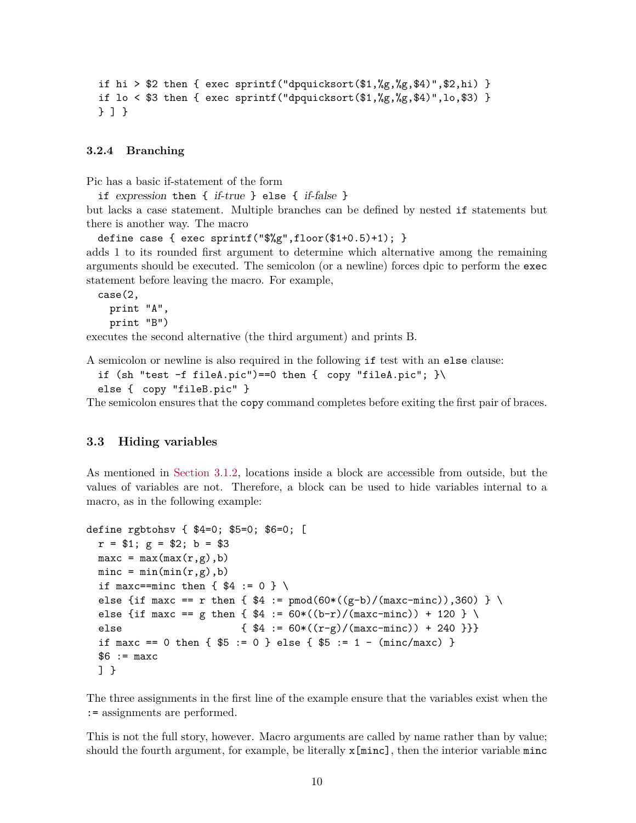```
if hi > $2 then { exec sprintf("dpquicksort($1,%g,%g,$4)",$2, hi) }
if lo < $3 then { exec sprintf("dpquicksort($1,%g,%g,$4)",lo,$3) }
} ] }
```
#### <span id="page-9-0"></span>**3.2.4 Branching**

Pic has a basic if-statement of the form

if expression then { if-true } else { if-false } but lacks a case statement. Multiple branches can be defined by nested if statements but there is another way. The macro

```
define case { exec sprintf("\frac{6}{2}",floor($1+0.5)+1); }
adds 1 to its rounded first argument to determine which alternative among the remaining
arguments should be executed. The semicolon (or a newline) forces dpic to perform the exec
statement before leaving the macro. For example,
```

```
case(2,
 print "A",
 print "B")
```
executes the second alternative (the third argument) and prints B.

A semicolon or newline is also required in the following if test with an else clause:

```
if (sh "test -f fileA.pic")==0 then { copy "fileA.pic"; }
```

```
else { copy "fileB.pic" }
```
The semicolon ensures that the copy command completes before exiting the first pair of braces.

#### <span id="page-9-1"></span>**3.3 Hiding variables**

As mentioned in [Section 3.1.2,](#page-5-0) locations inside a block are accessible from outside, but the values of variables are not. Therefore, a block can be used to hide variables internal to a macro, as in the following example:

```
define rgbtohsv { $4=0; $5=0; $6=0; [
 r = $1; g = $2; b = $3maxc = max(max(r,g),b)\text{minc} = \text{min}(\text{min}(r,g),b)if maxc==minc then \{ $4 := 0 \} \setminuselse {if maxc == r then { $4 := pmod(60*((g-b)/(maxc-minc)),360) } \else {if maxc == g then { $4 := 60*((b-r)/(maxc-minc)) + 120 } \
 else \{ $4 := 60*((r-g)/(maxc-minc)) + 240 ]\}if maxc == 0 then { $5 := 0 } else { $5 := 1 - (minc/max) }
 $6 := maxc] }
```
The three assignments in the first line of the example ensure that the variables exist when the := assignments are performed.

This is not the full story, however. Macro arguments are called by name rather than by value; should the fourth argument, for example, be literally  $x[\text{minc}]$ , then the interior variable  $\text{minc}$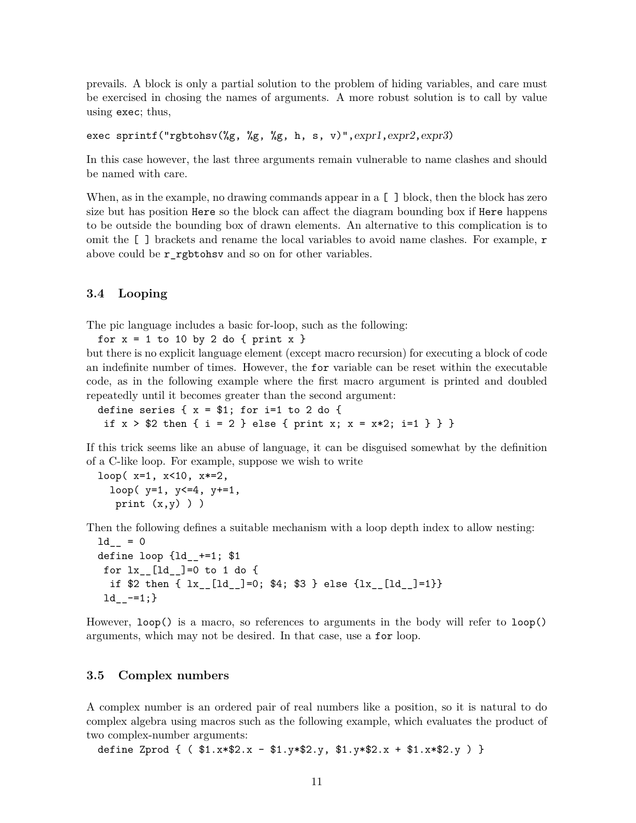prevails. A block is only a partial solution to the problem of hiding variables, and care must be exercised in chosing the names of arguments. A more robust solution is to call by value using exec; thus,

```
exec sprintf("rgbtohsv(%g, %g, %g, h, s, v)", exp1, expr2, expr3)
```
In this case however, the last three arguments remain vulnerable to name clashes and should be named with care.

When, as in the example, no drawing commands appear in a  $\lceil \,\rceil$  block, then the block has zero size but has position Here so the block can affect the diagram bounding box if Here happens to be outside the bounding box of drawn elements. An alternative to this complication is to omit the [ ] brackets and rename the local variables to avoid name clashes. For example, r above could be r\_rgbtohsv and so on for other variables.

#### <span id="page-10-0"></span>**3.4 Looping**

The pic language includes a basic for-loop, such as the following:

for  $x = 1$  to 10 by 2 do { print  $x$  }

but there is no explicit language element (except macro recursion) for executing a block of code an indefinite number of times. However, the for variable can be reset within the executable code, as in the following example where the first macro argument is printed and doubled repeatedly until it becomes greater than the second argument:

define series  $\{ x = $1;$  for i=1 to 2 do  $\{$ if  $x > $2$  then  $\{ i = 2 \}$  else  $\{ print x; x = x*2; i=1 \} \}$ 

If this trick seems like an abuse of language, it can be disguised somewhat by the definition of a C-like loop. For example, suppose we wish to write

```
loop(x=1, x<10, x*=2,loop(y=1, y<=4, y+=1,
  print (x,y)) )
```
Then the following defines a suitable mechanism with a loop depth index to allow nesting:

```
1d_{--} = 0define loop \{1d +=1; $1
for lx_{-}[ld_{-}]=0 to 1 do {
  if $2 then { lx__[ld__]=0; $4; $3 } else {lx__[ld__]=1}}
1d_{--}=-1;
```
However, loop() is a macro, so references to arguments in the body will refer to loop() arguments, which may not be desired. In that case, use a for loop.

#### <span id="page-10-1"></span>**3.5 Complex numbers**

A complex number is an ordered pair of real numbers like a position, so it is natural to do complex algebra using macros such as the following example, which evaluates the product of two complex-number arguments:

define Zprod  $\{$  (  $$1.x*$2.x - $1.y*$2.y, $1.y*$2.x + $1.x*$2.y) \}$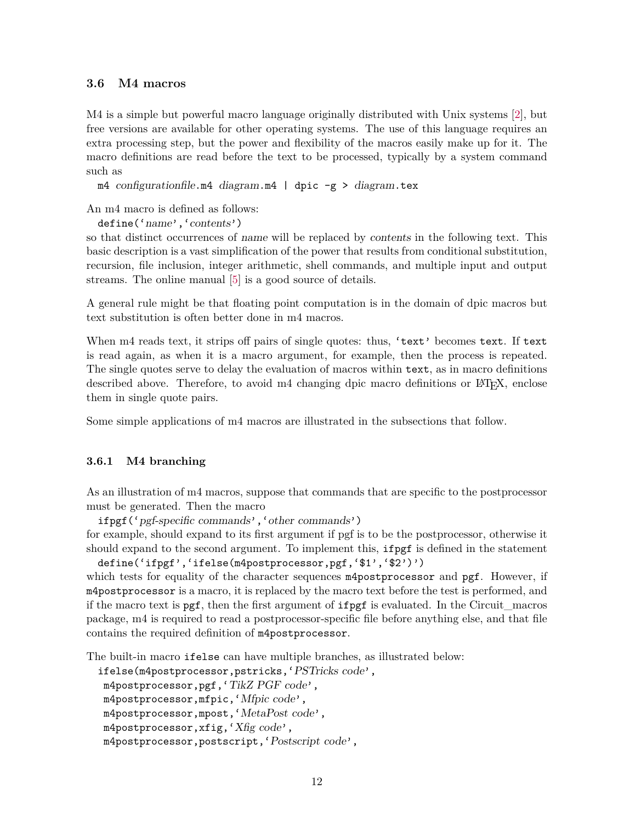#### <span id="page-11-0"></span>**3.6 M4 macros**

M4 is a simple but powerful macro language originally distributed with Unix systems [\[2\]](#page-30-2), but free versions are available for other operating systems. The use of this language requires an extra processing step, but the power and flexibility of the macros easily make up for it. The macro definitions are read before the text to be processed, typically by a system command such as

```
m4 configurationfile.m4 diagram.m4 | dpic -g > diagram.tex
```
An m4 macro is defined as follows:

define('name','contents')

so that distinct occurrences of name will be replaced by contents in the following text. This basic description is a vast simplification of the power that results from conditional substitution, recursion, file inclusion, integer arithmetic, shell commands, and multiple input and output streams. The online manual [\[5\]](#page-31-0) is a good source of details.

A general rule might be that floating point computation is in the domain of dpic macros but text substitution is often better done in m4 macros.

When m4 reads text, it strips off pairs of single quotes: thus, 'text' becomes text. If text is read again, as when it is a macro argument, for example, then the process is repeated. The single quotes serve to delay the evaluation of macros within text, as in macro definitions described above. Therefore, to avoid  $m4$  changing dpic macro definitions or  $\mathbb{F}(\mathbb{F}(\mathbf{X}), \mathbf{C})$ them in single quote pairs.

Some simple applications of m4 macros are illustrated in the subsections that follow.

#### <span id="page-11-1"></span>**3.6.1 M4 branching**

As an illustration of m4 macros, suppose that commands that are specific to the postprocessor must be generated. Then the macro

```
ifpgf('pgf-specific commands','other commands')
```
for example, should expand to its first argument if pgf is to be the postprocessor, otherwise it should expand to the second argument. To implement this, ifpgf is defined in the statement define('ifpgf','ifelse(m4postprocessor,pgf,'\$1','\$2')')

which tests for equality of the character sequences m4postprocessor and pgf. However, if m4postprocessor is a macro, it is replaced by the macro text before the test is performed, and if the macro text is pgf, then the first argument of ifpgf is evaluated. In the Circuit\_macros package, m4 is required to read a postprocessor-specific file before anything else, and that file contains the required definition of m4postprocessor.

The built-in macro ifelse can have multiple branches, as illustrated below:

```
ifelse(m4postprocessor,pstricks,'PSTricks code',
m4postprocessor,pgf,'TikZ PGF code',
m4postprocessor,mfpic,'Mfpic code',
m4postprocessor,mpost,'MetaPost code',
m4postprocessor,xfig,'Xfig code',
m4postprocessor,postscript,'Postscript code',
```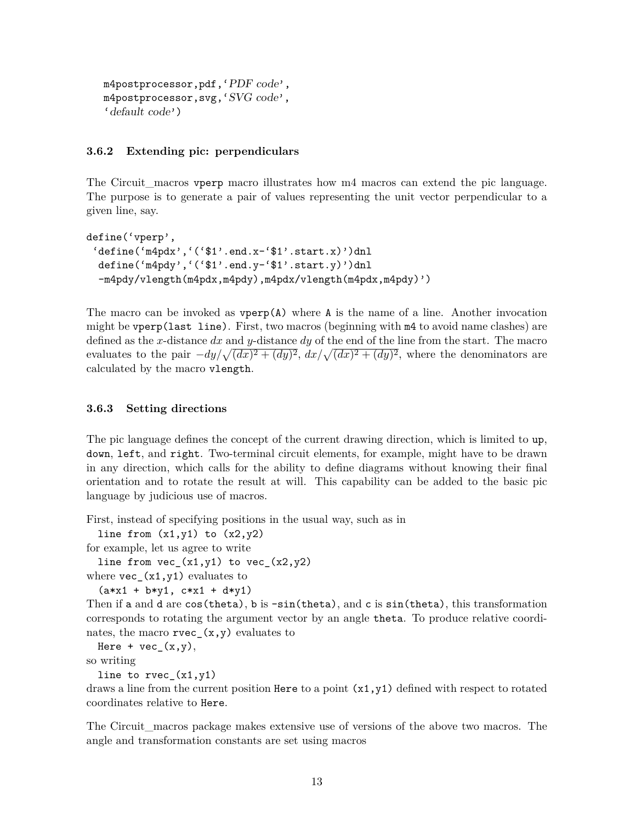```
m4postprocessor,pdf,'PDF code',
m4postprocessor,svg,'SVG code',
'default code')
```
#### <span id="page-12-0"></span>**3.6.2 Extending pic: perpendiculars**

The Circuit\_macros vperp macro illustrates how m4 macros can extend the pic language. The purpose is to generate a pair of values representing the unit vector perpendicular to a given line, say.

```
define('vperp',
 'define('m4pdx','('$1'.end.x-'$1'.start.x)')dnl
 define('m4pdy','('$1'.end.y-'$1'.start.y)')dnl
  -m4pdy/vlength(m4pdx,m4pdy),m4pdx/vlength(m4pdx,m4pdy)')
```
The macro can be invoked as  $vperp(A)$  where A is the name of a line. Another invocation might be vperp(last line). First, two macros (beginning with m4 to avoid name clashes) are defined as the *x*-distance *dx* and *y*-distance *dy* of the end of the line from the start. The macro evaluates to the pair  $-dy/\sqrt{(dx)^2 + (dy)^2}$ ,  $dx/\sqrt{(dx)^2 + (dy)^2}$ , where the denominators are calculated by the macro vlength.

#### <span id="page-12-1"></span>**3.6.3 Setting directions**

The pic language defines the concept of the current drawing direction, which is limited to up, down, left, and right. Two-terminal circuit elements, for example, might have to be drawn in any direction, which calls for the ability to define diagrams without knowing their final orientation and to rotate the result at will. This capability can be added to the basic pic language by judicious use of macros.

First, instead of specifying positions in the usual way, such as in

line from  $(x1,y1)$  to  $(x2,y2)$ for example, let us agree to write

line from  $vec_{(x1,y1)}$  to  $vec_{(x2,y2)}$ 

where  $\text{vec}(\text{x1}, \text{y1})$  evaluates to

 $(axx1 + b*y1, c*x1 + d*y1)$ 

Then if a and d are cos(theta), b is  $-\sin(\theta)$ , and c is  $\sin(\theta)$ , this transformation corresponds to rotating the argument vector by an angle theta. To produce relative coordinates, the macro  $rvec_{(x,y)}$  evaluates to

Here +  $vec_{(x,y)}$ ,

so writing

line to  $rvec_{(x1,y1)}$ 

draws a line from the current position Here to a point  $(x1, y1)$  defined with respect to rotated coordinates relative to Here.

The Circuit\_macros package makes extensive use of versions of the above two macros. The angle and transformation constants are set using macros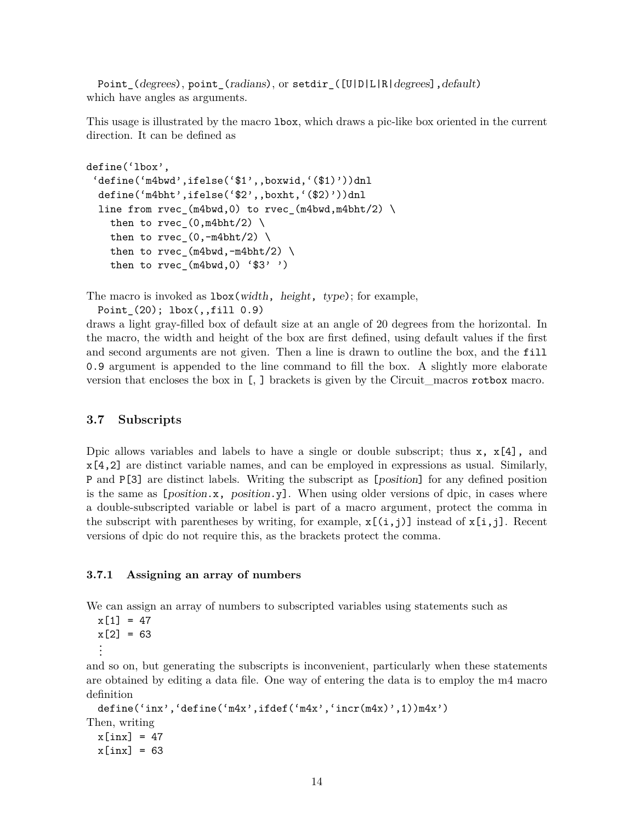Point\_(degrees), point\_(radians), or setdir\_([U|D|L|R|degrees], default) which have angles as arguments.

This usage is illustrated by the macro lbox, which draws a pic-like box oriented in the current direction. It can be defined as

```
define('lbox',
 'define('m4bwd',ifelse('$1',,boxwid,'($1)'))dnl
 define('m4bht',ifelse('$2',,boxht,'($2)'))dnl
 line from rvec_(m4bwd,0) to rvec_(m4bwd,m4bht/2) \
   then to rvec_0, m4bht/2) \
   then to rvec_(0, -m4bht/2)then to rvec_{m4bwd,-m4bht/2)then to rvec (m4bwd,0) '$3' ')
```
The macro is invoked as  $\text{1box}(\text{width}, \text{height}, \text{type})$ ; for example,

```
Point_(20); lbox(,,fill 0.9)
```
draws a light gray-filled box of default size at an angle of 20 degrees from the horizontal. In the macro, the width and height of the box are first defined, using default values if the first and second arguments are not given. Then a line is drawn to outline the box, and the fill 0.9 argument is appended to the line command to fill the box. A slightly more elaborate version that encloses the box in [, ] brackets is given by the Circuit\_macros rotbox macro.

#### <span id="page-13-0"></span>**3.7 Subscripts**

Dpic allows variables and labels to have a single or double subscript; thus  $x, x[4]$ , and x[4,2] are distinct variable names, and can be employed in expressions as usual. Similarly, P and P[3] are distinct labels. Writing the subscript as [position] for any defined position is the same as  $[position.x, position.y]$ . When using older versions of dpic, in cases where a double-subscripted variable or label is part of a macro argument, protect the comma in the subscript with parentheses by writing, for example,  $x[(i,j)]$  instead of  $x[i,j]$ . Recent versions of dpic do not require this, as the brackets protect the comma.

#### <span id="page-13-1"></span>**3.7.1 Assigning an array of numbers**

We can assign an array of numbers to subscripted variables using statements such as

```
x[1] = 47x[2] = 63...
```
and so on, but generating the subscripts is inconvenient, particularly when these statements are obtained by editing a data file. One way of entering the data is to employ the m4 macro definition

```
define('inx','define('m4x',ifdef('m4x','incr(m4x)',1))m4x')
Then, writing
 x[inx] = 47
 x[inx] = 63
```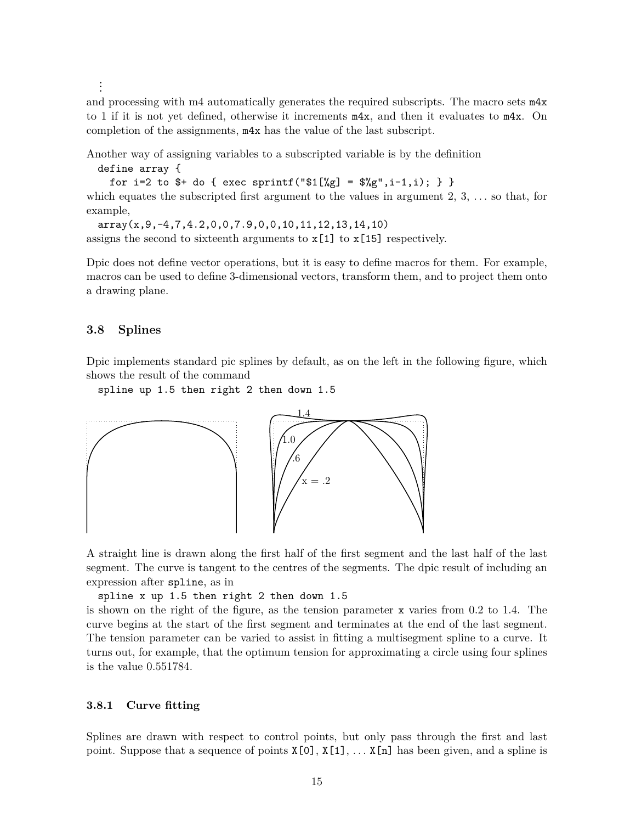...

and processing with m4 automatically generates the required subscripts. The macro sets m4x to 1 if it is not yet defined, otherwise it increments m4x, and then it evaluates to m4x. On completion of the assignments, m4x has the value of the last subscript.

Another way of assigning variables to a subscripted variable is by the definition

define array {

for i=2 to \$+ do { exec sprintf("\$1[%g] =  $\frac{1}{2}$ ", i-1, i); } } which equates the subscripted first argument to the values in argument 2, 3, *. . .* so that, for example,

array(x,9,-4,7,4.2,0,0,7.9,0,0,10,11,12,13,14,10) assigns the second to sixteenth arguments to  $x[1]$  to  $x[15]$  respectively.

Dpic does not define vector operations, but it is easy to define macros for them. For example, macros can be used to define 3-dimensional vectors, transform them, and to project them onto a drawing plane.

#### <span id="page-14-0"></span>**3.8 Splines**

Dpic implements standard pic splines by default, as on the left in the following figure, which shows the result of the command

spline up 1.5 then right 2 then down 1.5



A straight line is drawn along the first half of the first segment and the last half of the last segment. The curve is tangent to the centres of the segments. The dpic result of including an expression after spline, as in

spline x up 1.5 then right 2 then down 1.5

is shown on the right of the figure, as the tension parameter x varies from 0.2 to 1.4. The curve begins at the start of the first segment and terminates at the end of the last segment. The tension parameter can be varied to assist in fitting a multisegment spline to a curve. It turns out, for example, that the optimum tension for approximating a circle using four splines is the value 0.551784.

#### <span id="page-14-1"></span>**3.8.1 Curve fitting**

Splines are drawn with respect to control points, but only pass through the first and last point. Suppose that a sequence of points  $X[0], X[1], \ldots X[n]$  has been given, and a spline is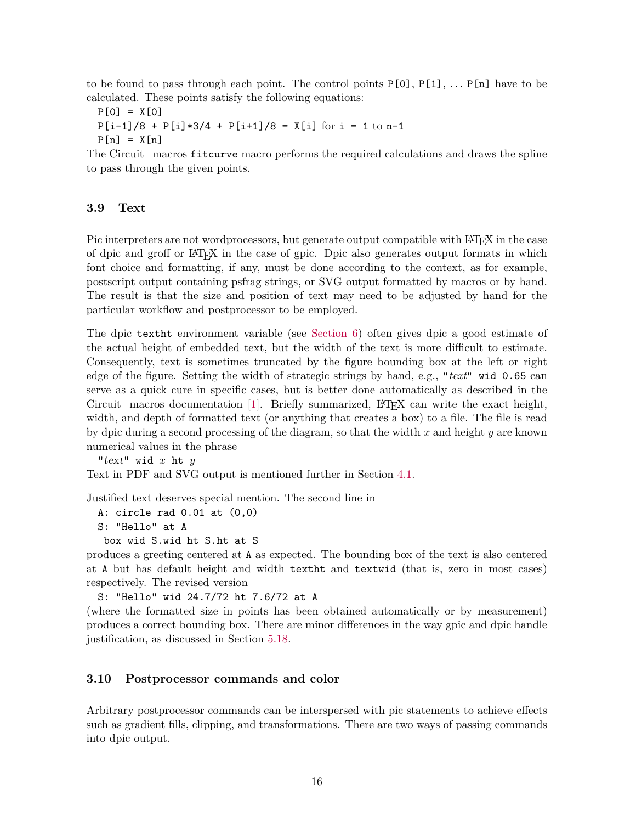to be found to pass through each point. The control points P[0], P[1], *. . .* P[n] have to be calculated. These points satisfy the following equations:

$$
P[0] = X[0]
$$
  
 
$$
P[i-1]/8 + P[i]*3/4 + P[i+1]/8 = X[i] \text{ for } i = 1 \text{ to } n-1
$$
  
 
$$
P[n] = X[n]
$$

The Circuit macros fitcurve macro performs the required calculations and draws the spline to pass through the given points.

#### <span id="page-15-0"></span>**3.9 Text**

Pic interpreters are not wordprocessors, but generate output compatible with LATEX in the case of dpic and groff or LATEX in the case of gpic. Dpic also generates output formats in which font choice and formatting, if any, must be done according to the context, as for example, postscript output containing psfrag strings, or SVG output formatted by macros or by hand. The result is that the size and position of text may need to be adjusted by hand for the particular workflow and postprocessor to be employed.

The dpic textht environment variable (see [Section 6\)](#page-32-0) often gives dpic a good estimate of the actual height of embedded text, but the width of the text is more difficult to estimate. Consequently, text is sometimes truncated by the figure bounding box at the left or right edge of the figure. Setting the width of strategic strings by hand, e.g., "*text*" wid 0.65 can serve as a quick cure in specific cases, but is better done automatically as described in the Circuit\_macros documentation  $[1]$ . Briefly summarized, LAT<sub>EX</sub> can write the exact height, width, and depth of formatted text (or anything that creates a box) to a file. The file is read by dpic during a second processing of the diagram, so that the width *x* and height *y* are known numerical values in the phrase

"text" wid *x* ht *y*

Text in PDF and SVG output is mentioned further in Section [4.1.](#page-19-0)

Justified text deserves special mention. The second line in

A: circle rad 0.01 at (0,0)

S: "Hello" at A

```
box wid S.wid ht S.ht at S
```
produces a greeting centered at A as expected. The bounding box of the text is also centered at A but has default height and width textht and textwid (that is, zero in most cases) respectively. The revised version

S: "Hello" wid 24.7/72 ht 7.6/72 at A

(where the formatted size in points has been obtained automatically or by measurement) produces a correct bounding box. There are minor differences in the way gpic and dpic handle justification, as discussed in Section [5.18.](#page-27-0)

#### <span id="page-15-1"></span>**3.10 Postprocessor commands and color**

Arbitrary postprocessor commands can be interspersed with pic statements to achieve effects such as gradient fills, clipping, and transformations. There are two ways of passing commands into dpic output.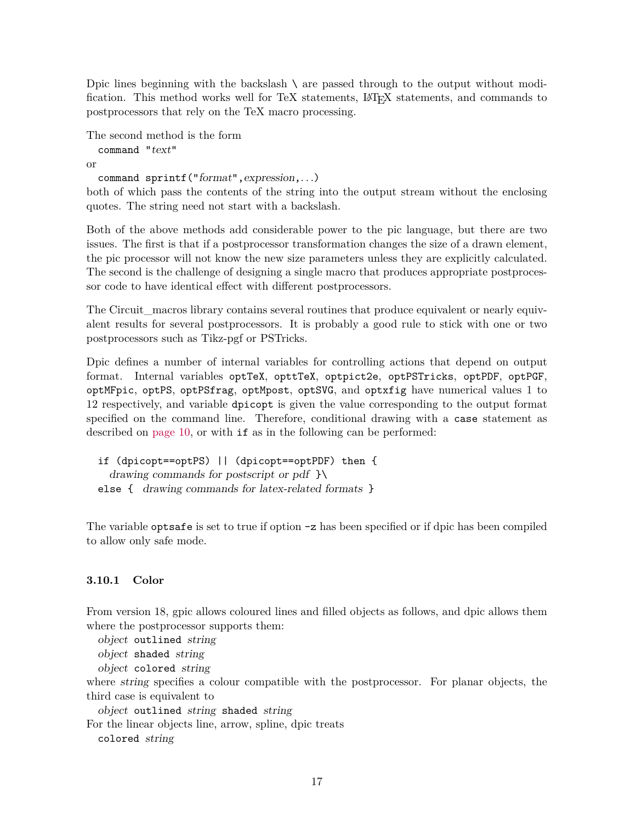Dpic lines beginning with the backslash  $\setminus$  are passed through to the output without modification. This method works well for TeX statements, LATEX statements, and commands to postprocessors that rely on the TeX macro processing.

```
The second method is the form
  command "text"
or
  command sprintf("format",expression,. . .)
```
both of which pass the contents of the string into the output stream without the enclosing quotes. The string need not start with a backslash.

Both of the above methods add considerable power to the pic language, but there are two issues. The first is that if a postprocessor transformation changes the size of a drawn element, the pic processor will not know the new size parameters unless they are explicitly calculated. The second is the challenge of designing a single macro that produces appropriate postprocessor code to have identical effect with different postprocessors.

The Circuit macros library contains several routines that produce equivalent or nearly equivalent results for several postprocessors. It is probably a good rule to stick with one or two postprocessors such as Tikz-pgf or PSTricks.

Dpic defines a number of internal variables for controlling actions that depend on output format. Internal variables optTeX, opttTeX, optpict2e, optPSTricks, optPDF, optPGF, optMFpic, optPS, optPSfrag, optMpost, optSVG, and optxfig have numerical values 1 to 12 respectively, and variable dpicopt is given the value corresponding to the output format specified on the command line. Therefore, conditional drawing with a case statement as described on [page 10,](#page-9-0) or with if as in the following can be performed:

if (dpicopt==optPS) || (dpicopt==optPDF) then { drawing commands for postscript or pdf  $\}$ else { drawing commands for latex-related formats }

The variable optsafe is set to true if option -z has been specified or if dpic has been compiled to allow only safe mode.

#### <span id="page-16-0"></span>**3.10.1 Color**

From version 18, gpic allows coloured lines and filled objects as follows, and dpic allows them where the postprocessor supports them:

object outlined string

object shaded string

object colored string

where string specifies a colour compatible with the postprocessor. For planar objects, the third case is equivalent to

object outlined string shaded string

For the linear objects line, arrow, spline, dpic treats

colored string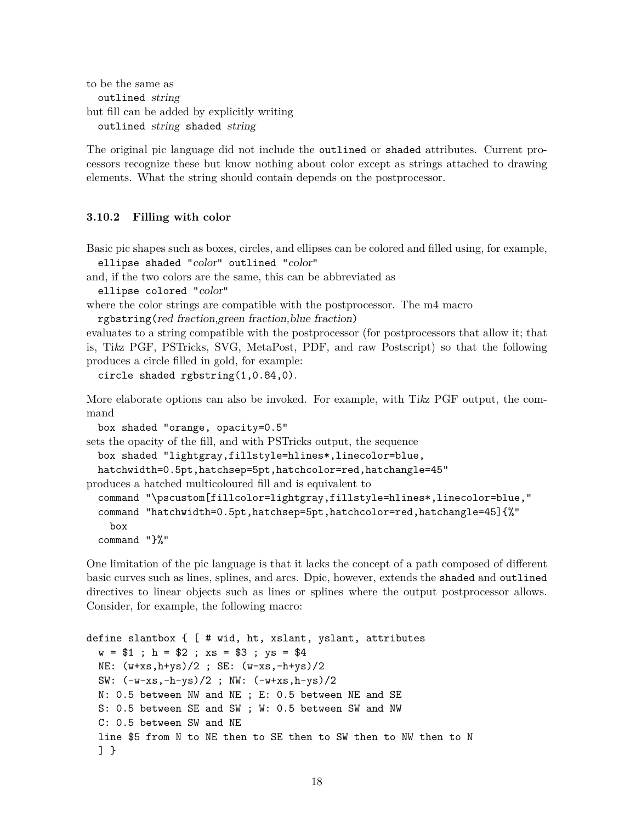to be the same as outlined string but fill can be added by explicitly writing outlined string shaded string

The original pic language did not include the outlined or shaded attributes. Current processors recognize these but know nothing about color except as strings attached to drawing elements. What the string should contain depends on the postprocessor.

#### <span id="page-17-0"></span>**3.10.2 Filling with color**

Basic pic shapes such as boxes, circles, and ellipses can be colored and filled using, for example, ellipse shaded "color" outlined "color"

and, if the two colors are the same, this can be abbreviated as

ellipse colored "color"

```
where the color strings are compatible with the postprocessor. The m4 macro
  rgbstring(red fraction,green fraction,blue fraction)
```
evaluates to a string compatible with the postprocessor (for postprocessors that allow it; that is, Ti*k*z PGF, PSTricks, SVG, MetaPost, PDF, and raw Postscript) so that the following produces a circle filled in gold, for example:

circle shaded rgbstring(1,0.84,0).

More elaborate options can also be invoked. For example, with Ti*k*z PGF output, the command

```
box shaded "orange, opacity=0.5"
```
sets the opacity of the fill, and with PSTricks output, the sequence

```
box shaded "lightgray,fillstyle=hlines*,linecolor=blue,
```

```
hatchwidth=0.5pt,hatchsep=5pt,hatchcolor=red,hatchangle=45"
```

```
produces a hatched multicoloured fill and is equivalent to
```

```
command "\pscustom[fillcolor=lightgray,fillstyle=hlines*,linecolor=blue,"
command "hatchwidth=0.5pt,hatchsep=5pt,hatchcolor=red,hatchangle=45]{%"
  box
command "}%"
```
One limitation of the pic language is that it lacks the concept of a path composed of different basic curves such as lines, splines, and arcs. Dpic, however, extends the shaded and outlined directives to linear objects such as lines or splines where the output postprocessor allows. Consider, for example, the following macro:

```
define slantbox { [ # wid, ht, xslant, yslant, attributes
 w = $1; h = $2; xs = $3; ys = $4NE: (w+xs,h+ys)/2; SE: (w-xs,-h+ys)/2SW: (-w-xs,-h-ys)/2 ; NW: (-w+xs,h-ys)/2
 N: 0.5 between NW and NE ; E: 0.5 between NE and SE
 S: 0.5 between SE and SW ; W: 0.5 between SW and NW
 C: 0.5 between SW and NE
 line $5 from N to NE then to SE then to SW then to NW then to N
 ] }
```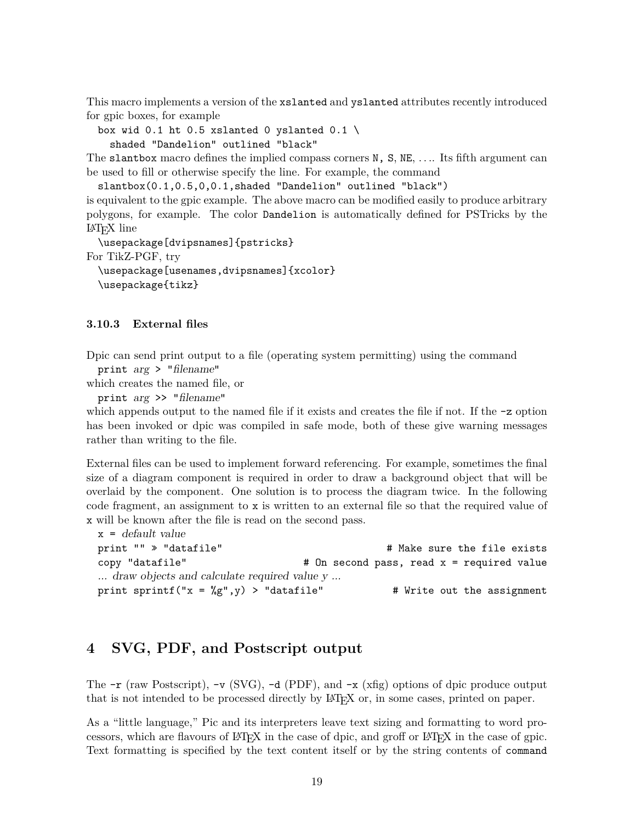This macro implements a version of the xslanted and yslanted attributes recently introduced for gpic boxes, for example

box wid 0.1 ht 0.5 xslanted 0 yslanted 0.1 \ shaded "Dandelion" outlined "black"

The slantbox macro defines the implied compass corners N, S, NE, *. . .*. Its fifth argument can be used to fill or otherwise specify the line. For example, the command

slantbox(0.1,0.5,0,0.1,shaded "Dandelion" outlined "black")

is equivalent to the gpic example. The above macro can be modified easily to produce arbitrary polygons, for example. The color Dandelion is automatically defined for PSTricks by the LATEX line

```
\usepackage[dvipsnames]{pstricks}
For TikZ-PGF, try
```

```
\usepackage[usenames,dvipsnames]{xcolor}
\usepackage{tikz}
```
#### <span id="page-18-0"></span>**3.10.3 External files**

Dpic can send print output to a file (operating system permitting) using the command

```
print arg > "filename"
```
which creates the named file, or

```
print arg >> "filename"
```
which appends output to the named file if it exists and creates the file if not. If the  $-z$  option has been invoked or dpic was compiled in safe mode, both of these give warning messages rather than writing to the file.

External files can be used to implement forward referencing. For example, sometimes the final size of a diagram component is required in order to draw a background object that will be overlaid by the component. One solution is to process the diagram twice. In the following code fragment, an assignment to x is written to an external file so that the required value of x will be known after the file is read on the second pass.

```
x = default value
print "" » "datafile" # Make sure the file exists
copy "datafile" \qquad \qquad # On second pass, read x = required value
... draw objects and calculate required value y ...
print sprintf("x = \%g", y) > "datafile" # Write out the assignment
```
## <span id="page-18-1"></span>**4 SVG, PDF, and Postscript output**

The  $-r$  (raw Postscript),  $-v$  (SVG),  $-d$  (PDF), and  $-x$  (xfig) options of dpic produce output that is not intended to be processed directly by LATEX or, in some cases, printed on paper.

As a "little language," Pic and its interpreters leave text sizing and formatting to word processors, which are flavours of LATEX in the case of dpic, and groff or LATEX in the case of gpic. Text formatting is specified by the text content itself or by the string contents of command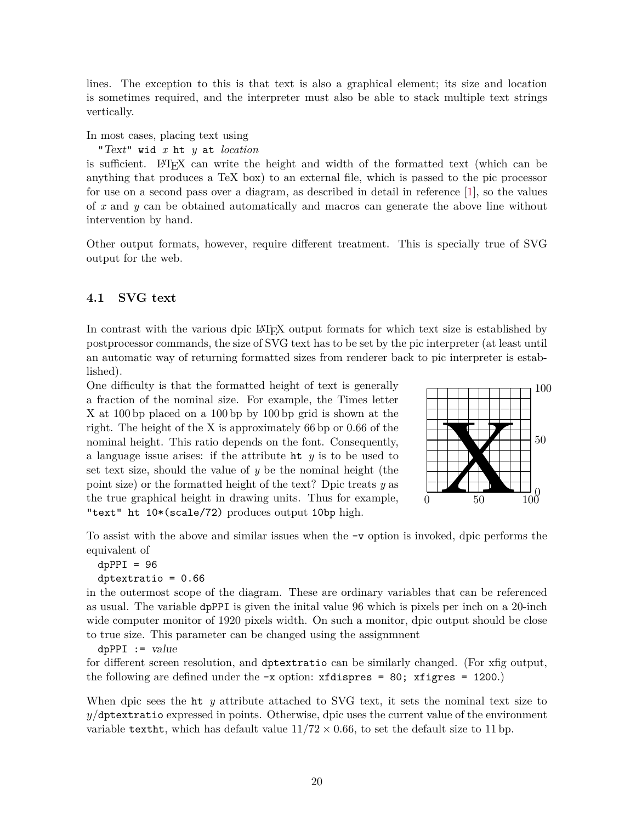lines. The exception to this is that text is also a graphical element; its size and location is sometimes required, and the interpreter must also be able to stack multiple text strings vertically.

In most cases, placing text using

"Text" wid *x* ht *y* at *location*

is sufficient. LATEX can write the height and width of the formatted text (which can be anything that produces a TeX box) to an external file, which is passed to the pic processor for use on a second pass over a diagram, as described in detail in reference [\[1\]](#page-30-3), so the values of *x* and *y* can be obtained automatically and macros can generate the above line without intervention by hand.

Other output formats, however, require different treatment. This is specially true of SVG output for the web.

#### <span id="page-19-0"></span>**4.1 SVG text**

In contrast with the various dpic LATEX output formats for which text size is established by postprocessor commands, the size of SVG text has to be set by the pic interpreter (at least until an automatic way of returning formatted sizes from renderer back to pic interpreter is established).

One difficulty is that the formatted height of text is generally a fraction of the nominal size. For example, the Times letter X at 100 bp placed on a 100 bp by 100 bp grid is shown at the right. The height of the X is approximately 66 bp or 0.66 of the nominal height. This ratio depends on the font. Consequently, a language issue arises: if the attribute ht *y* is to be used to set text size, should the value of *y* be the nominal height (the point size) or the formatted height of the text? Dpic treats *y* as the true graphical height in drawing units. Thus for example, "text" ht 10\*(scale/72) produces output 10bp high.



To assist with the above and similar issues when the -v option is invoked, dpic performs the equivalent of

```
dpPPI = 96dptextratio = 0.66
```
in the outermost scope of the diagram. These are ordinary variables that can be referenced as usual. The variable dpPPI is given the inital value 96 which is pixels per inch on a 20-inch wide computer monitor of 1920 pixels width. On such a monitor, dpic output should be close to true size. This parameter can be changed using the assignmnent

 $dpPPI := value$ 

for different screen resolution, and dptextratio can be similarly changed. (For xfig output, the following are defined under the  $-x$  option:  $xfd$  ispres = 80;  $xf$  igres = 1200.)

When dpic sees the ht *y* attribute attached to SVG text, it sets the nominal text size to *y/*dptextratio expressed in points. Otherwise, dpic uses the current value of the environment variable texths, which has default value  $11/72 \times 0.66$ , to set the default size to 11 bp.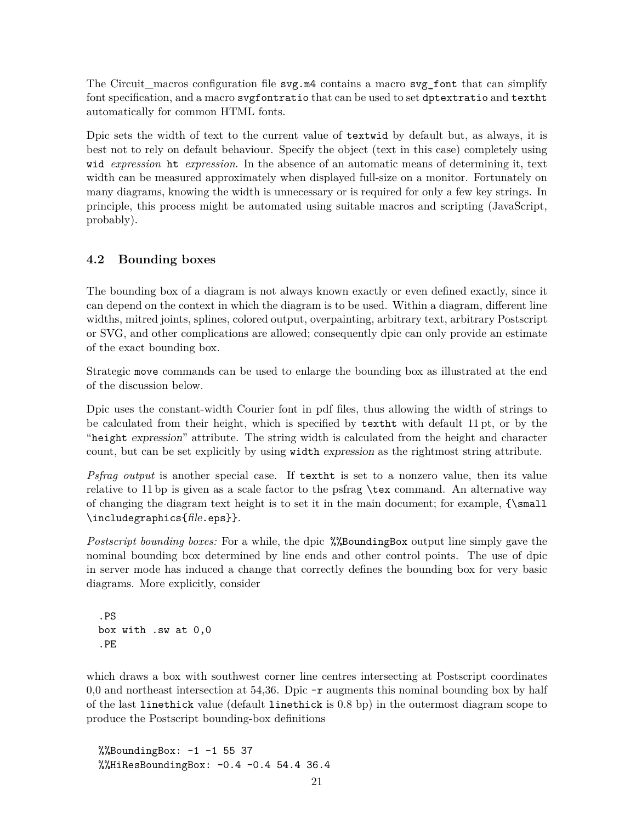The Circuit\_macros configuration file svg.m4 contains a macro svg\_font that can simplify font specification, and a macro svgfontratio that can be used to set dptextratio and textht automatically for common HTML fonts.

Dpic sets the width of text to the current value of textwid by default but, as always, it is best not to rely on default behaviour. Specify the object (text in this case) completely using wid *expression* ht *expression*. In the absence of an automatic means of determining it, text width can be measured approximately when displayed full-size on a monitor. Fortunately on many diagrams, knowing the width is unnecessary or is required for only a few key strings. In principle, this process might be automated using suitable macros and scripting (JavaScript, probably).

#### <span id="page-20-0"></span>**4.2 Bounding boxes**

The bounding box of a diagram is not always known exactly or even defined exactly, since it can depend on the context in which the diagram is to be used. Within a diagram, different line widths, mitred joints, splines, colored output, overpainting, arbitrary text, arbitrary Postscript or SVG, and other complications are allowed; consequently dpic can only provide an estimate of the exact bounding box.

Strategic move commands can be used to enlarge the bounding box as illustrated at the end of the discussion below.

Dpic uses the constant-width Courier font in pdf files, thus allowing the width of strings to be calculated from their height, which is specified by textht with default 11 pt, or by the "height expression" attribute. The string width is calculated from the height and character count, but can be set explicitly by using width expression as the rightmost string attribute.

*Psfrag output* is another special case. If textht is set to a nonzero value, then its value relative to 11 bp is given as a scale factor to the psfrag \tex command. An alternative way of changing the diagram text height is to set it in the main document; for example, {\small \includegraphics{file.eps}}.

*Postscript bounding boxes:* For a while, the dpic %%BoundingBox output line simply gave the nominal bounding box determined by line ends and other control points. The use of dpic in server mode has induced a change that correctly defines the bounding box for very basic diagrams. More explicitly, consider

```
.PS
box with .sw at 0,0
.PE
```
which draws a box with southwest corner line centres intersecting at Postscript coordinates 0,0 and northeast intersection at 54,36. Dpic  $-\mathbf{r}$  augments this nominal bounding box by half of the last linethick value (default linethick is 0.8 bp) in the outermost diagram scope to produce the Postscript bounding-box definitions

 $\%$ BoundingBox:  $-1$  -1 55 37 %%HiResBoundingBox: -0.4 -0.4 54.4 36.4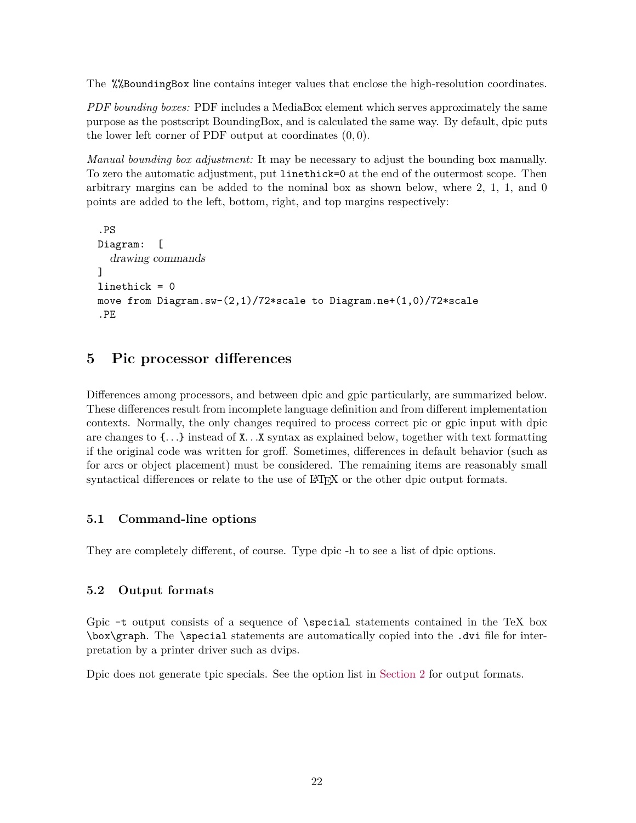The %%BoundingBox line contains integer values that enclose the high-resolution coordinates.

*PDF bounding boxes:* PDF includes a MediaBox element which serves approximately the same purpose as the postscript BoundingBox, and is calculated the same way. By default, dpic puts the lower left corner of PDF output at coordinates (0*,* 0).

*Manual bounding box adjustment:* It may be necessary to adjust the bounding box manually. To zero the automatic adjustment, put linethick=0 at the end of the outermost scope. Then arbitrary margins can be added to the nominal box as shown below, where 2, 1, 1, and 0 points are added to the left, bottom, right, and top margins respectively:

```
.PS
Diagram: [
  drawing commands
]
linethick = 0
move from Diagram.sw-(2,1)/72*scale to Diagram.ne+(1,0)/72*scale
.PE
```
## <span id="page-21-0"></span>**5 Pic processor differences**

Differences among processors, and between dpic and gpic particularly, are summarized below. These differences result from incomplete language definition and from different implementation contexts. Normally, the only changes required to process correct pic or gpic input with dpic are changes to {*. . .*} instead of X*. . .*X syntax as explained below, together with text formatting if the original code was written for groff. Sometimes, differences in default behavior (such as for arcs or object placement) must be considered. The remaining items are reasonably small syntactical differences or relate to the use of LAT<sub>EX</sub> or the other dpic output formats.

#### <span id="page-21-1"></span>**5.1 Command-line options**

They are completely different, of course. Type dpic -h to see a list of dpic options.

#### <span id="page-21-2"></span>**5.2 Output formats**

Gpic -t output consists of a sequence of \special statements contained in the TeX box \box\graph. The \special statements are automatically copied into the .dvi file for interpretation by a printer driver such as dvips.

Dpic does not generate tpic specials. See the option list in [Section 2](#page-1-1) for output formats.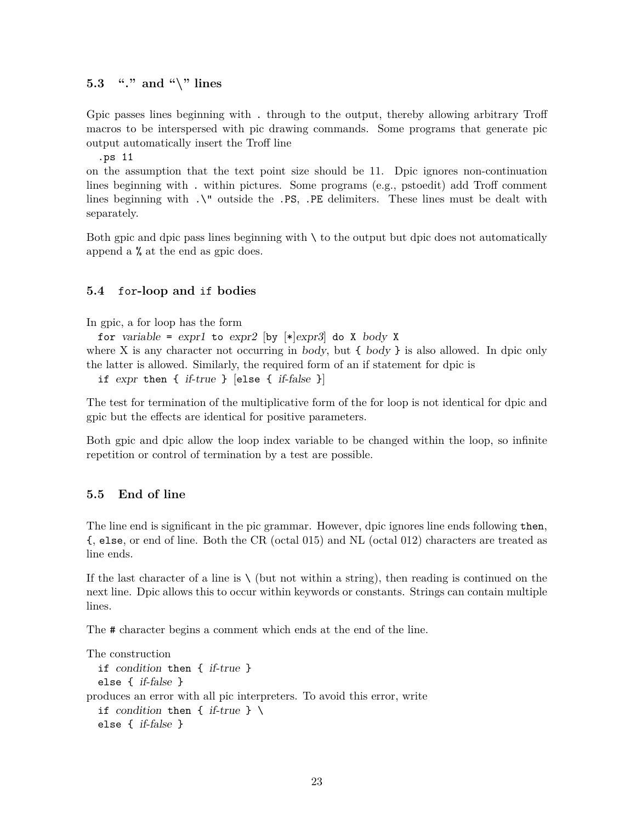#### <span id="page-22-0"></span>**5.3 "." and "\" lines**

Gpic passes lines beginning with . through to the output, thereby allowing arbitrary Troff macros to be interspersed with pic drawing commands. Some programs that generate pic output automatically insert the Troff line

.ps 11

on the assumption that the text point size should be 11. Dpic ignores non-continuation lines beginning with . within pictures. Some programs (e.g., pstoedit) add Troff comment lines beginning with  $\sqrt{ }$  outside the .PS, .PE delimiters. These lines must be dealt with separately.

Both gpic and dpic pass lines beginning with  $\setminus$  to the output but dpic does not automatically append a % at the end as gpic does.

### <span id="page-22-1"></span>**5.4** for**-loop and** if **bodies**

In gpic, a for loop has the form

for variable =  $\exp r$ 1 to  $\exp r$ 2  $\left[\frac{b}{y} \right] \neq \exp r$ 3 do X body X

where X is any character not occurring in body, but  $\{body\}$  is also allowed. In dpic only the latter is allowed. Similarly, the required form of an if statement for dpic is

if  $expr$  then { if-true } [else { if-false }]

The test for termination of the multiplicative form of the for loop is not identical for dpic and gpic but the effects are identical for positive parameters.

Both gpic and dpic allow the loop index variable to be changed within the loop, so infinite repetition or control of termination by a test are possible.

#### <span id="page-22-2"></span>**5.5 End of line**

The line end is significant in the pic grammar. However, dpic ignores line ends following then, {, else, or end of line. Both the CR (octal 015) and NL (octal 012) characters are treated as line ends.

If the last character of a line is  $\setminus$  (but not within a string), then reading is continued on the next line. Dpic allows this to occur within keywords or constants. Strings can contain multiple lines.

The # character begins a comment which ends at the end of the line.

```
The construction
  if condition then { if-true }
  else { if-false }
produces an error with all pic interpreters. To avoid this error, write
  if condition then { if-true } \setminuselse { if-false }
```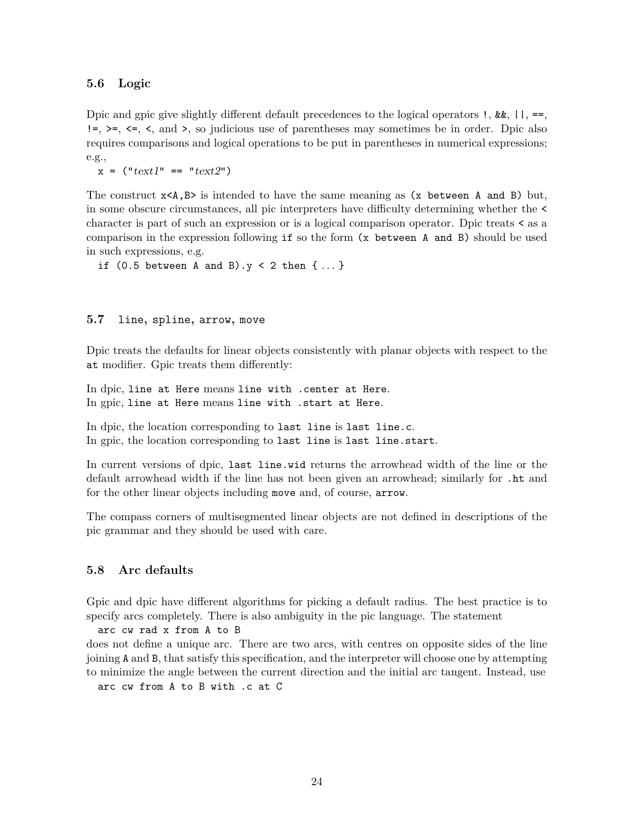#### <span id="page-23-0"></span>**5.6 Logic**

Dpic and gpic give slightly different default precedences to the logical operators  $\cdot$ ,  $\&\&$ ,  $|\cdot|$ , ==,  $!=, >=, <=, <, \text{ and } >, \text{ so }$  judicious use of parentheses may sometimes be in order. Dpic also requires comparisons and logical operations to be put in parentheses in numerical expressions; e.g.,

 $x =$  ("text1" == "text2")

The construct  $x < A$ ,  $B$  is intended to have the same meaning as  $(x \text{ between } A \text{ and } B)$  but, in some obscure circumstances, all pic interpreters have difficulty determining whether the < character is part of such an expression or is a logical comparison operator. Dpic treats < as a comparison in the expression following if so the form (x between A and B) should be used in such expressions, e.g.

if  $(0.5$  between A and B). $y < 2$  then  $\{ \dots \}$ 

#### <span id="page-23-1"></span>**5.7** line**,** spline**,** arrow**,** move

Dpic treats the defaults for linear objects consistently with planar objects with respect to the at modifier. Gpic treats them differently:

In dpic, line at Here means line with .center at Here. In gpic, line at Here means line with .start at Here.

In dpic, the location corresponding to last line is last line.c. In gpic, the location corresponding to last line is last line.start.

In current versions of dpic, last line.wid returns the arrowhead width of the line or the default arrowhead width if the line has not been given an arrowhead; similarly for .ht and for the other linear objects including move and, of course, arrow.

The compass corners of multisegmented linear objects are not defined in descriptions of the pic grammar and they should be used with care.

#### <span id="page-23-2"></span>**5.8 Arc defaults**

Gpic and dpic have different algorithms for picking a default radius. The best practice is to specify arcs completely. There is also ambiguity in the pic language. The statement

arc cw rad x from A to B

does not define a unique arc. There are two arcs, with centres on opposite sides of the line joining A and B, that satisfy this specification, and the interpreter will choose one by attempting to minimize the angle between the current direction and the initial arc tangent. Instead, use

arc cw from A to B with .c at C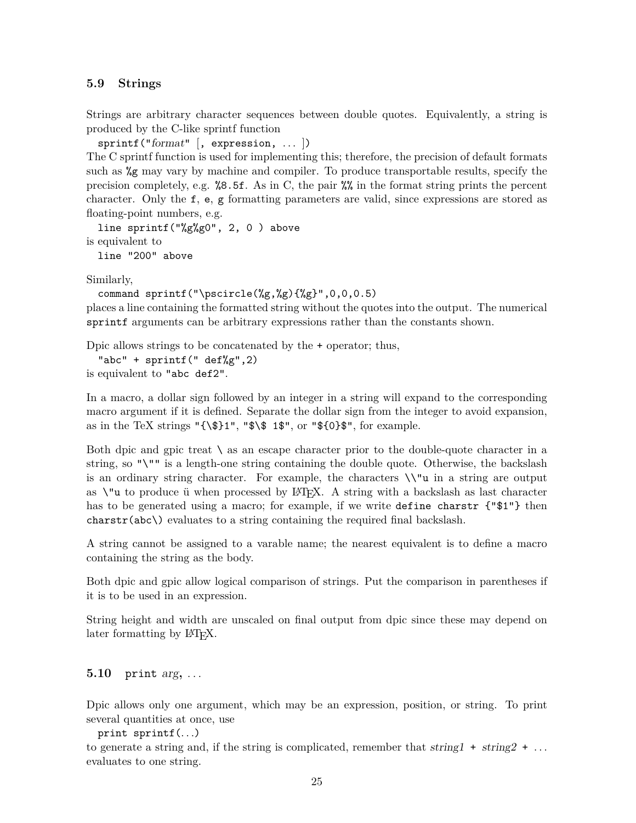#### <span id="page-24-0"></span>**5.9 Strings**

Strings are arbitrary character sequences between double quotes. Equivalently, a string is produced by the C-like sprintf function

sprintf("format" [, expression, ... ])

The C sprintf function is used for implementing this; therefore, the precision of default formats such as %g may vary by machine and compiler. To produce transportable results, specify the precision completely, e.g. %8.5f. As in C, the pair %% in the format string prints the percent character. Only the f, e, g formatting parameters are valid, since expressions are stored as floating-point numbers, e.g.

```
line sprintf("%g%g0", 2, 0 ) above
is equivalent to
```
line "200" above

Similarly,

```
command sprintf("\pscircle(%g,%g){%g}",0,0,0.5)
```
places a line containing the formatted string without the quotes into the output. The numerical sprintf arguments can be arbitrary expressions rather than the constants shown.

Dpic allows strings to be concatenated by the + operator; thus,

"abc" + sprintf(" def%g",2) is equivalent to "abc def2".

In a macro, a dollar sign followed by an integer in a string will expand to the corresponding macro argument if it is defined. Separate the dollar sign from the integer to avoid expansion, as in the TeX strings " ${\{\$\}1", "\$\$ 1", or "\$0}\$ ", for example.

Both dpic and gpic treat  $\setminus$  as an escape character prior to the double-quote character in a string, so "\"" is a length-one string containing the double quote. Otherwise, the backslash is an ordinary string character. For example, the characters  $\sqrt{\}u$  in a string are output as  $\iota$ "u to produce ü when processed by LAT<sub>EX</sub>. A string with a backslash as last character has to be generated using a macro; for example, if we write define charstr  $\{\Psi\}$  then charstr(abc\) evaluates to a string containing the required final backslash.

A string cannot be assigned to a varable name; the nearest equivalent is to define a macro containing the string as the body.

Both dpic and gpic allow logical comparison of strings. Put the comparison in parentheses if it is to be used in an expression.

String height and width are unscaled on final output from dpic since these may depend on later formatting by L<sup>AT</sup>FX.

```
5.10 print arg, . . .
```
Dpic allows only one argument, which may be an expression, position, or string. To print several quantities at once, use

print sprintf(*. . .*)

to generate a string and, if the string is complicated, remember that  $string1 + string2 + ...$ evaluates to one string.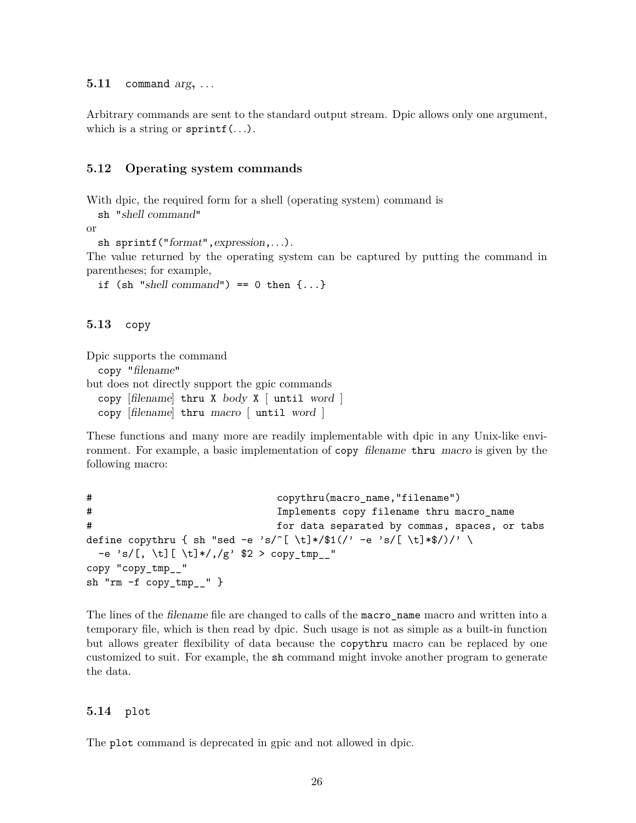<span id="page-25-0"></span>**5.11** command arg**,** *. . .*

Arbitrary commands are sent to the standard output stream. Dpic allows only one argument, which is a string or sprintf(*. . .*).

#### <span id="page-25-1"></span>**5.12 Operating system commands**

With dpic, the required form for a shell (operating system) command is

sh "shell command"

or

```
sh sprintf("format",expression,. . .).
```
The value returned by the operating system can be captured by putting the command in parentheses; for example,

if (sh "shell command") == 0 then  $\{ \ldots \}$ 

<span id="page-25-2"></span>**5.13** copy

Dpic supports the command copy "filename" but does not directly support the gpic commands copy [filename] thru X body X  $\lceil$  until word  $\rceil$ copy [filename] thru macro [ until word ]

These functions and many more are readily implementable with dpic in any Unix-like environment. For example, a basic implementation of copy filename thru macro is given by the following macro:

```
# copythru(macro_name,"filename")
# Implements copy filename thru macro_name
# for data separated by commas, spaces, or tabs
define copythru { sh "sed -e 's/^[ \t]*/$1(/' -e 's/[ \t]*$/)/' \
 -e 's/[, \t][ \t]*/,/g' $2 > copy_tmp__"
copy "copy_tmp__"
sh "rm -f copy_tmp__" }
```
The lines of the filename file are changed to calls of the macro\_name macro and written into a temporary file, which is then read by dpic. Such usage is not as simple as a built-in function but allows greater flexibility of data because the copythru macro can be replaced by one customized to suit. For example, the sh command might invoke another program to generate the data.

#### <span id="page-25-3"></span>**5.14** plot

The plot command is deprecated in gpic and not allowed in dpic.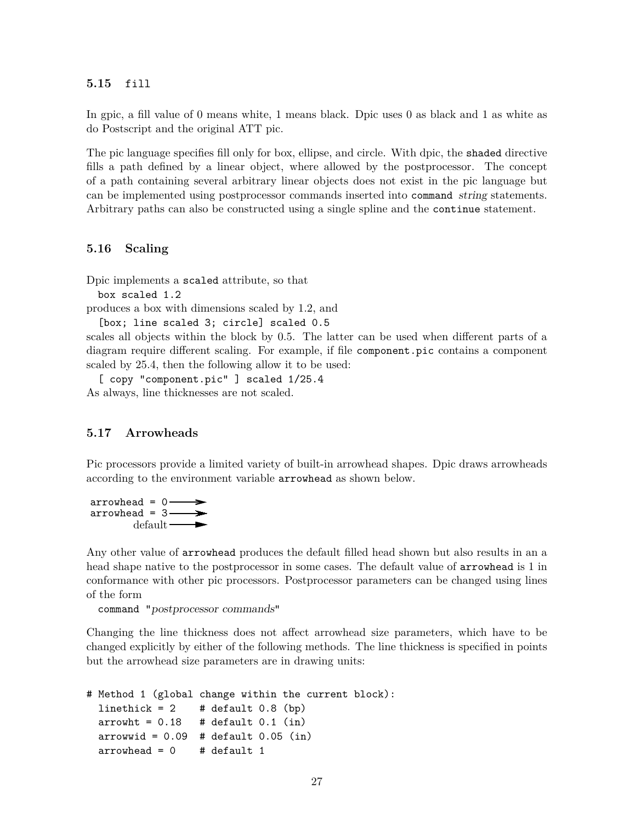<span id="page-26-0"></span>**5.15** fill

In gpic, a fill value of 0 means white, 1 means black. Dpic uses 0 as black and 1 as white as do Postscript and the original ATT pic.

The pic language specifies fill only for box, ellipse, and circle. With dpic, the shaded directive fills a path defined by a linear object, where allowed by the postprocessor. The concept of a path containing several arbitrary linear objects does not exist in the pic language but can be implemented using postprocessor commands inserted into command string statements. Arbitrary paths can also be constructed using a single spline and the continue statement.

#### <span id="page-26-1"></span>**5.16 Scaling**

Dpic implements a scaled attribute, so that

box scaled 1.2

produces a box with dimensions scaled by 1.2, and

[box; line scaled 3; circle] scaled 0.5

scales all objects within the block by 0.5. The latter can be used when different parts of a diagram require different scaling. For example, if file component.pic contains a component scaled by 25.4, then the following allow it to be used:

[ copy "component.pic" ] scaled 1/25.4 As always, line thicknesses are not scaled.

#### <span id="page-26-2"></span>**5.17 Arrowheads**

Pic processors provide a limited variety of built-in arrowhead shapes. Dpic draws arrowheads according to the environment variable arrowhead as shown below.



Any other value of arrowhead produces the default filled head shown but also results in an a head shape native to the postprocessor in some cases. The default value of **arrowhead** is 1 in conformance with other pic processors. Postprocessor parameters can be changed using lines of the form

command "postprocessor commands"

Changing the line thickness does not affect arrowhead size parameters, which have to be changed explicitly by either of the following methods. The line thickness is specified in points but the arrowhead size parameters are in drawing units:

```
# Method 1 (global change within the current block):
 linethick = 2 # default 0.8 (bp)
 arrow = 0.18 # default 0.1 (in)
 arrowwid = 0.09 # default 0.05 (in)
 arrowhead = 0 # default 1
```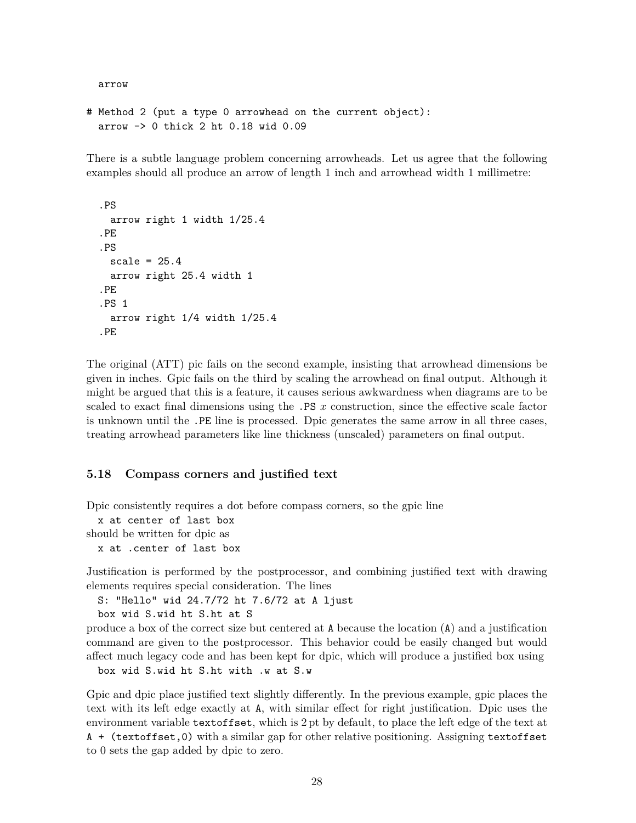arrow

```
# Method 2 (put a type 0 arrowhead on the current object):
  arrow -> 0 thick 2 ht 0.18 wid 0.09
```
There is a subtle language problem concerning arrowheads. Let us agree that the following examples should all produce an arrow of length 1 inch and arrowhead width 1 millimetre:

```
.PS
 arrow right 1 width 1/25.4
.PE
.PS
 scale = 25.4arrow right 25.4 width 1
.PE
.PS 1
 arrow right 1/4 width 1/25.4
.PE
```
The original (ATT) pic fails on the second example, insisting that arrowhead dimensions be given in inches. Gpic fails on the third by scaling the arrowhead on final output. Although it might be argued that this is a feature, it causes serious awkwardness when diagrams are to be scaled to exact final dimensions using the .PS *x* construction, since the effective scale factor is unknown until the .PE line is processed. Dpic generates the same arrow in all three cases, treating arrowhead parameters like line thickness (unscaled) parameters on final output.

#### <span id="page-27-0"></span>**5.18 Compass corners and justified text**

Dpic consistently requires a dot before compass corners, so the gpic line

x at center of last box

should be written for dpic as

x at .center of last box

Justification is performed by the postprocessor, and combining justified text with drawing elements requires special consideration. The lines

S: "Hello" wid 24.7/72 ht 7.6/72 at A ljust

box wid S.wid ht S.ht at S

produce a box of the correct size but centered at A because the location (A) and a justification command are given to the postprocessor. This behavior could be easily changed but would affect much legacy code and has been kept for dpic, which will produce a justified box using

box wid S.wid ht S.ht with .w at S.w

Gpic and dpic place justified text slightly differently. In the previous example, gpic places the text with its left edge exactly at A, with similar effect for right justification. Dpic uses the environment variable textoffset, which is 2 pt by default, to place the left edge of the text at A + (textoffset,0) with a similar gap for other relative positioning. Assigning textoffset to 0 sets the gap added by dpic to zero.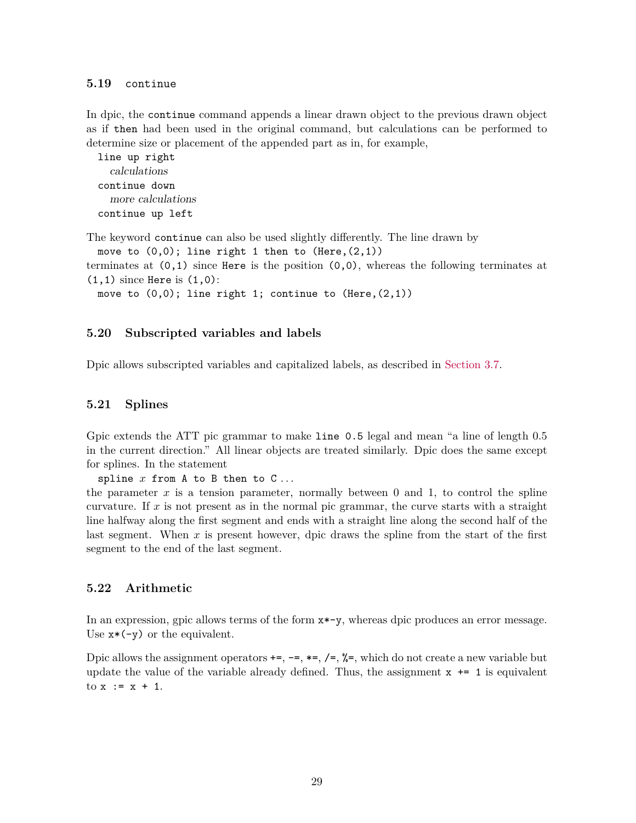#### <span id="page-28-0"></span>**5.19** continue

In dpic, the continue command appends a linear drawn object to the previous drawn object as if then had been used in the original command, but calculations can be performed to determine size or placement of the appended part as in, for example,

```
line up right
  calculations
continue down
  more calculations
continue up left
```
The keyword continue can also be used slightly differently. The line drawn by

move to  $(0,0)$ ; line right 1 then to  $(Here, (2,1))$ 

terminates at  $(0,1)$  since Here is the position  $(0,0)$ , whereas the following terminates at  $(1,1)$  since Here is  $(1,0)$ :

move to  $(0,0)$ ; line right 1; continue to  $(Here, (2,1))$ 

#### <span id="page-28-1"></span>**5.20 Subscripted variables and labels**

Dpic allows subscripted variables and capitalized labels, as described in [Section 3.7.](#page-13-0)

#### <span id="page-28-2"></span>**5.21 Splines**

Gpic extends the ATT pic grammar to make line 0.5 legal and mean "a line of length 0.5" in the current direction." All linear objects are treated similarly. Dpic does the same except for splines. In the statement

spline *x* from A to B then to C *. . .*

the parameter  $x$  is a tension parameter, normally between 0 and 1, to control the spline curvature. If *x* is not present as in the normal pic grammar, the curve starts with a straight line halfway along the first segment and ends with a straight line along the second half of the last segment. When *x* is present however, dpic draws the spline from the start of the first segment to the end of the last segment.

## <span id="page-28-3"></span>**5.22 Arithmetic**

In an expression, gpic allows terms of the form x\*-y, whereas dpic produces an error message. Use  $x*(-y)$  or the equivalent.

Dpic allows the assignment operators  $+=, -=, *=, /=, %=$ , which do not create a new variable but update the value of the variable already defined. Thus, the assignment  $x \leftrightarrow 1$  is equivalent to  $x := x + 1$ .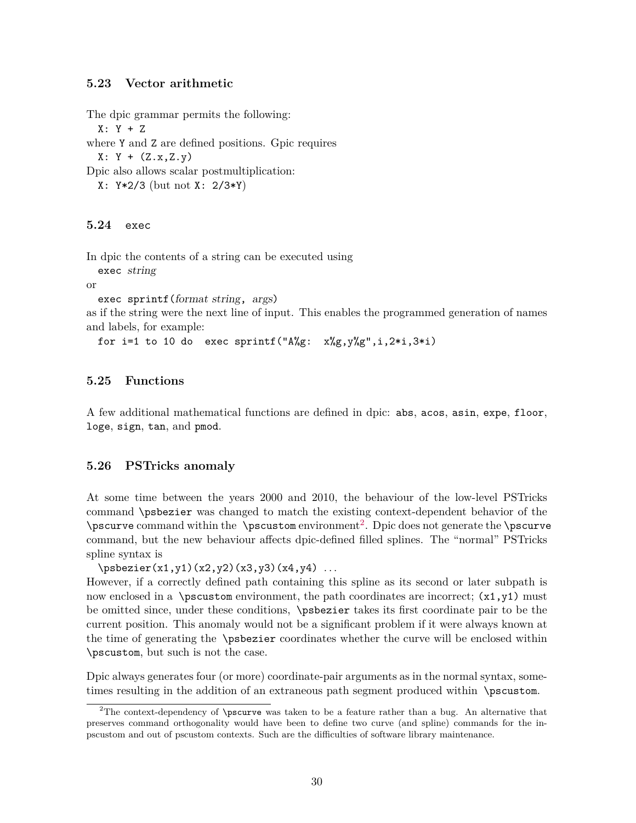#### <span id="page-29-0"></span>**5.23 Vector arithmetic**

The dpic grammar permits the following:

X: Y + Z

where Y and Z are defined positions. Gpic requires

 $X: Y + (Z.x, Z.y)$ 

Dpic also allows scalar postmultiplication:

X: Y\*2/3 (but not X: 2/3\*Y)

#### <span id="page-29-1"></span>**5.24** exec

In dpic the contents of a string can be executed using

exec string

or

exec sprintf(format string, args)

as if the string were the next line of input. This enables the programmed generation of names and labels, for example:

for i=1 to 10 do exec sprintf(" $A\%g$ :  $x\%g$ ,  $y\%g$ ", i,  $2*i$ ,  $3*i$ )

#### <span id="page-29-2"></span>**5.25 Functions**

A few additional mathematical functions are defined in dpic: abs, acos, asin, expe, floor, loge, sign, tan, and pmod.

#### <span id="page-29-3"></span>**5.26 PSTricks anomaly**

At some time between the years 2000 and 2010, the behaviour of the low-level PSTricks command \psbezier was changed to match the existing context-dependent behavior of the \pscurve command within the  $\epsilon$  \pscustom environment<sup>[2](#page-29-4)</sup>. Dpic does not generate the \pscurve command, but the new behaviour affects dpic-defined filled splines. The "normal" PSTricks spline syntax is

```
\psbezier(x1,y1)(x2,y2)(x3,y3)(x4,y4) . . .
```
However, if a correctly defined path containing this spline as its second or later subpath is now enclosed in a \pscustom environment, the path coordinates are incorrect;  $(x1, y1)$  must be omitted since, under these conditions, \psbezier takes its first coordinate pair to be the current position. This anomaly would not be a significant problem if it were always known at the time of generating the \psbezier coordinates whether the curve will be enclosed within \pscustom, but such is not the case.

Dpic always generates four (or more) coordinate-pair arguments as in the normal syntax, sometimes resulting in the addition of an extraneous path segment produced within \pscustom.

<span id="page-29-4"></span><sup>&</sup>lt;sup>2</sup>The context-dependency of  $\ensuremath{\mathsf{S}}$  ration to be a feature rather than a bug. An alternative that preserves command orthogonality would have been to define two curve (and spline) commands for the inpscustom and out of pscustom contexts. Such are the difficulties of software library maintenance.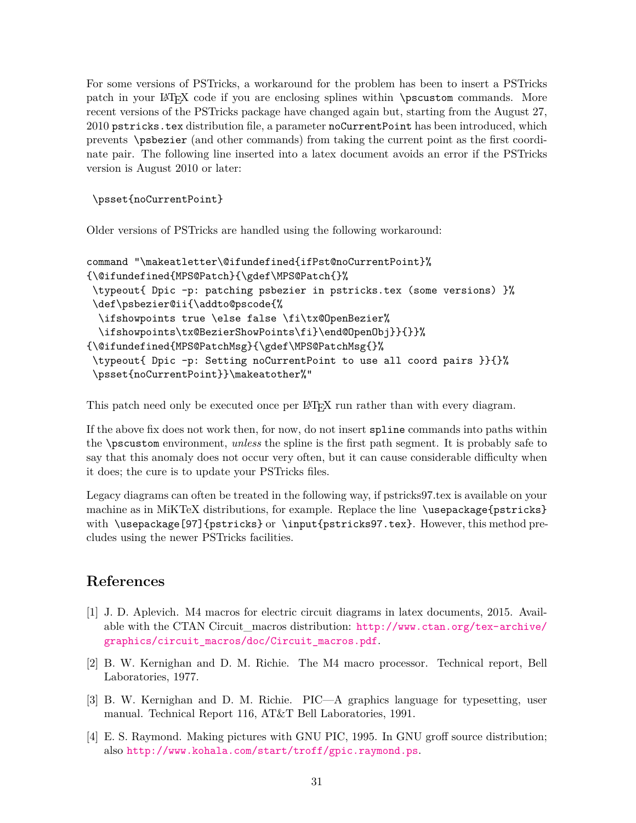For some versions of PSTricks, a workaround for the problem has been to insert a PSTricks patch in your LATEX code if you are enclosing splines within \pscustom commands. More recent versions of the PSTricks package have changed again but, starting from the August 27, 2010 pstricks.tex distribution file, a parameter noCurrentPoint has been introduced, which prevents \psbezier (and other commands) from taking the current point as the first coordinate pair. The following line inserted into a latex document avoids an error if the PSTricks version is August 2010 or later:

\psset{noCurrentPoint}

Older versions of PSTricks are handled using the following workaround:

```
command "\makeatletter\@ifundefined{ifPst@noCurrentPoint}%
{\@ifundefined{MPS@Patch}{\gdef\MPS@Patch{}%
 \typeout{ Dpic -p: patching psbezier in pstricks.tex (some versions) }%
\def\psbezier@ii{\addto@pscode{%
 \ifshowpoints true \else false \fi\tx@OpenBezier%
 \ifshowpoints\tx@BezierShowPoints\fi}\end@OpenObj}}{}}%
{\@ifundefined{MPS@PatchMsg}{\gdef\MPS@PatchMsg{}%
 \typeout{ Dpic -p: Setting noCurrentPoint to use all coord pairs }}{}%
 \psset{noCurrentPoint}}\makeatother%"
```
This patch need only be executed once per LATEX run rather than with every diagram.

If the above fix does not work then, for now, do not insert spline commands into paths within the \pscustom environment, *unless* the spline is the first path segment. It is probably safe to say that this anomaly does not occur very often, but it can cause considerable difficulty when it does; the cure is to update your PSTricks files.

Legacy diagrams can often be treated in the following way, if pstricks97.tex is available on your machine as in MiKTeX distributions, for example. Replace the line \usepackage{pstricks} with \usepackage[97]{pstricks} or \input{pstricks97.tex}. However, this method precludes using the newer PSTricks facilities.

## **References**

- <span id="page-30-3"></span>[1] J. D. Aplevich. M4 macros for electric circuit diagrams in latex documents, 2015. Available with the CTAN Circuit\_macros distribution: [http://www.ctan.org/tex-archive/](http://www.ctan.org/tex-archive/graphics/circuit_macros/doc/Circuit_macros.pdf) [graphics/circuit\\_macros/doc/Circuit\\_macros.pdf](http://www.ctan.org/tex-archive/graphics/circuit_macros/doc/Circuit_macros.pdf).
- <span id="page-30-2"></span>[2] B. W. Kernighan and D. M. Richie. The M4 macro processor. Technical report, Bell Laboratories, 1977.
- <span id="page-30-0"></span>[3] B. W. Kernighan and D. M. Richie. PIC—A graphics language for typesetting, user manual. Technical Report 116, AT&T Bell Laboratories, 1991.
- <span id="page-30-1"></span>[4] E. S. Raymond. Making pictures with GNU PIC, 1995. In GNU groff source distribution; also <http://www.kohala.com/start/troff/gpic.raymond.ps>.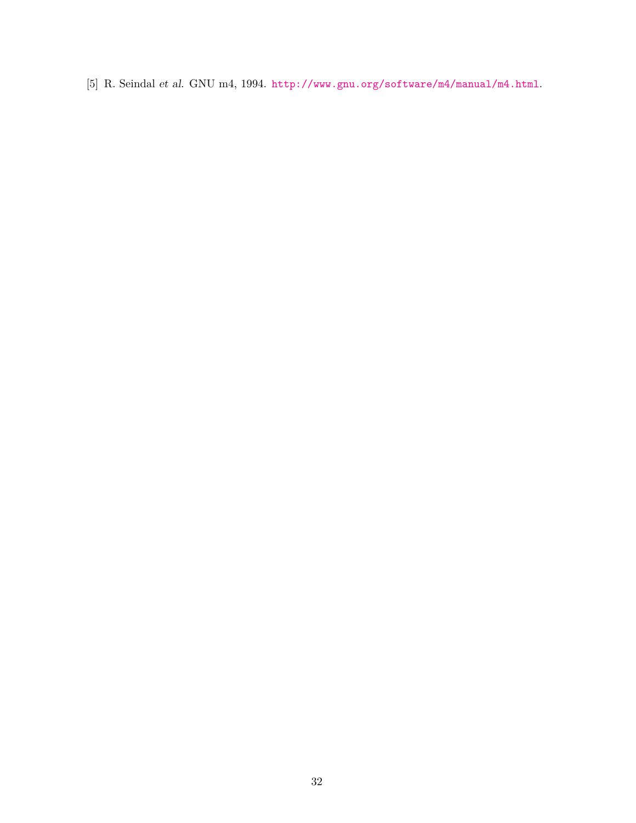<span id="page-31-0"></span>[5] R. Seindal et al. GNU m4, 1994. <http://www.gnu.org/software/m4/manual/m4.html>.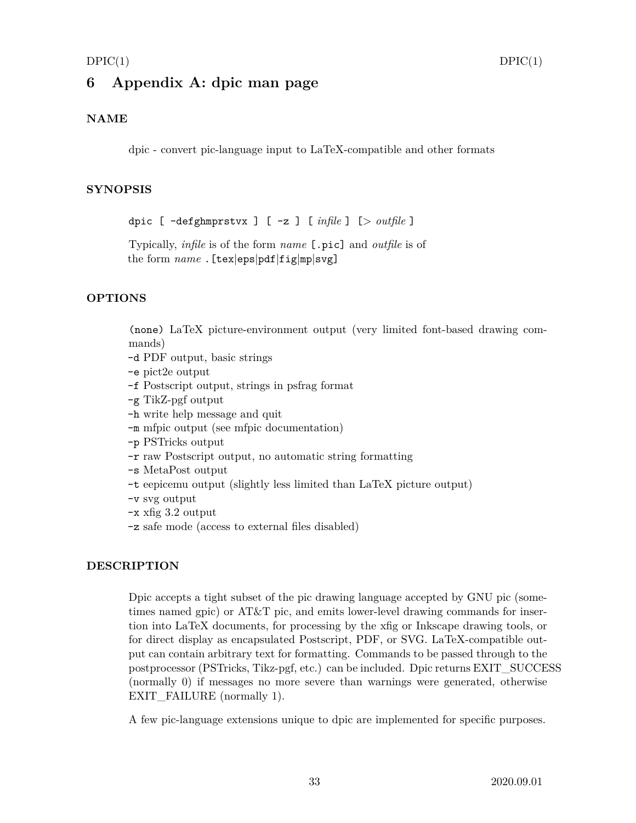## <span id="page-32-0"></span>**6 Appendix A: dpic man page**

## **NAME**

dpic - convert pic-language input to LaTeX-compatible and other formats

#### **SYNOPSIS**

dpic [ -defghmprstvx ] [ -z ] [ *infile* ] [*> outfile* ]

Typically, *infile* is of the form *name* [.pic] and *outfile* is of the form *name* .[tex|eps|pdf|fig|mp|svg]

#### **OPTIONS**

(none) LaTeX picture-environment output (very limited font-based drawing commands)

- -d PDF output, basic strings
- -e pict2e output
- -f Postscript output, strings in psfrag format
- -g TikZ-pgf output
- -h write help message and quit
- -m mfpic output (see mfpic documentation)
- -p PSTricks output
- -r raw Postscript output, no automatic string formatting
- -s MetaPost output
- -t eepicemu output (slightly less limited than LaTeX picture output)
- -v svg output
- -x xfig 3.2 output
- -z safe mode (access to external files disabled)

#### **DESCRIPTION**

Dpic accepts a tight subset of the pic drawing language accepted by GNU pic (sometimes named gpic) or AT&T pic, and emits lower-level drawing commands for insertion into LaTeX documents, for processing by the xfig or Inkscape drawing tools, or for direct display as encapsulated Postscript, PDF, or SVG. LaTeX-compatible output can contain arbitrary text for formatting. Commands to be passed through to the postprocessor (PSTricks, Tikz-pgf, etc.) can be included. Dpic returns EXIT\_SUCCESS (normally 0) if messages no more severe than warnings were generated, otherwise EXIT\_FAILURE (normally 1).

A few pic-language extensions unique to dpic are implemented for specific purposes.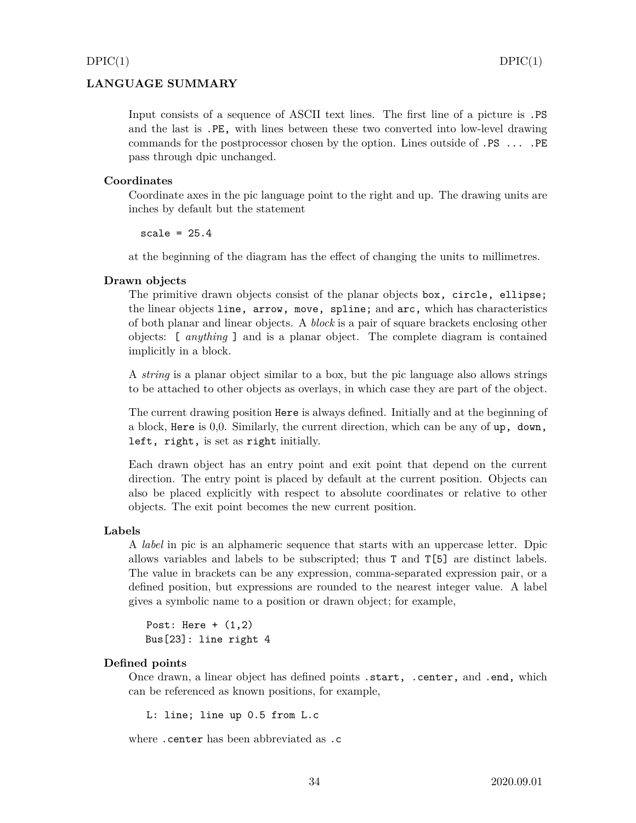## **LANGUAGE SUMMARY**

Input consists of a sequence of ASCII text lines. The first line of a picture is .PS and the last is .PE, with lines between these two converted into low-level drawing commands for the postprocessor chosen by the option. Lines outside of .PS ... .PE pass through dpic unchanged.

#### **Coordinates**

Coordinate axes in the pic language point to the right and up. The drawing units are inches by default but the statement

scale =  $25.4$ 

at the beginning of the diagram has the effect of changing the units to millimetres.

#### **Drawn objects**

The primitive drawn objects consist of the planar objects box, circle, ellipse; the linear objects line, arrow, move, spline; and arc, which has characteristics of both planar and linear objects. A *block* is a pair of square brackets enclosing other objects: [ *anything* ] and is a planar object. The complete diagram is contained implicitly in a block.

A *string* is a planar object similar to a box, but the pic language also allows strings to be attached to other objects as overlays, in which case they are part of the object.

The current drawing position Here is always defined. Initially and at the beginning of a block, Here is 0,0. Similarly, the current direction, which can be any of up, down, left, right, is set as right initially.

Each drawn object has an entry point and exit point that depend on the current direction. The entry point is placed by default at the current position. Objects can also be placed explicitly with respect to absolute coordinates or relative to other objects. The exit point becomes the new current position.

#### **Labels**

A *label* in pic is an alphameric sequence that starts with an uppercase letter. Dpic allows variables and labels to be subscripted; thus T and T[5] are distinct labels. The value in brackets can be any expression, comma-separated expression pair, or a defined position, but expressions are rounded to the nearest integer value. A label gives a symbolic name to a position or drawn object; for example,

```
Post: Here + (1,2)Bus[23]: line right 4
```
#### **Defined points**

Once drawn, a linear object has defined points .start, .center, and .end, which can be referenced as known positions, for example,

L: line; line up 0.5 from L.c

where .center has been abbreviated as .c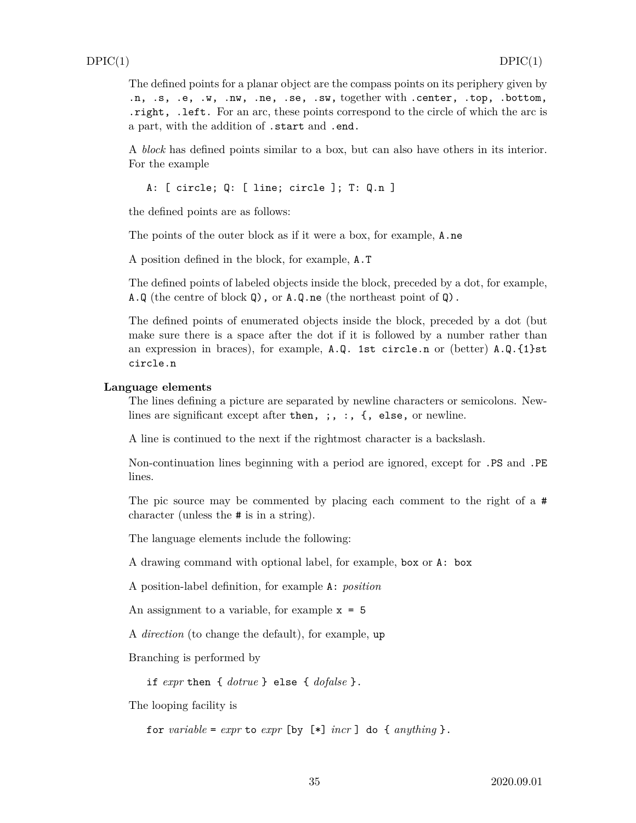The defined points for a planar object are the compass points on its periphery given by .n, .s, .e, .w, .nw, .ne, .se, .sw, together with .center, .top, .bottom, .right, .left. For an arc, these points correspond to the circle of which the arc is a part, with the addition of .start and .end.

A *block* has defined points similar to a box, but can also have others in its interior. For the example

A: [ circle; Q: [ line; circle ]; T: Q.n ]

the defined points are as follows:

The points of the outer block as if it were a box, for example, A.ne

A position defined in the block, for example, A.T

The defined points of labeled objects inside the block, preceded by a dot, for example, A.Q (the centre of block Q), or A.Q.ne (the northeast point of Q).

The defined points of enumerated objects inside the block, preceded by a dot (but make sure there is a space after the dot if it is followed by a number rather than an expression in braces), for example, A.Q. 1st circle.n or (better) A.Q.{1}st circle.n

#### **Language elements**

The lines defining a picture are separated by newline characters or semicolons. Newlines are significant except after then, ;, :, {, else, or newline.

A line is continued to the next if the rightmost character is a backslash.

Non-continuation lines beginning with a period are ignored, except for .PS and .PE lines.

The pic source may be commented by placing each comment to the right of a # character (unless the # is in a string).

The language elements include the following:

A drawing command with optional label, for example, box or A: box

A position-label definition, for example A: *position*

An assignment to a variable, for example  $x = 5$ 

A *direction* (to change the default), for example, up

Branching is performed by

if *expr* then { *dotrue* } else { *dofalse* }.

The looping facility is

for *variable* =  $expr$  to  $expr$  [by  $[*]$  *incr* ] do {  $anything$  }.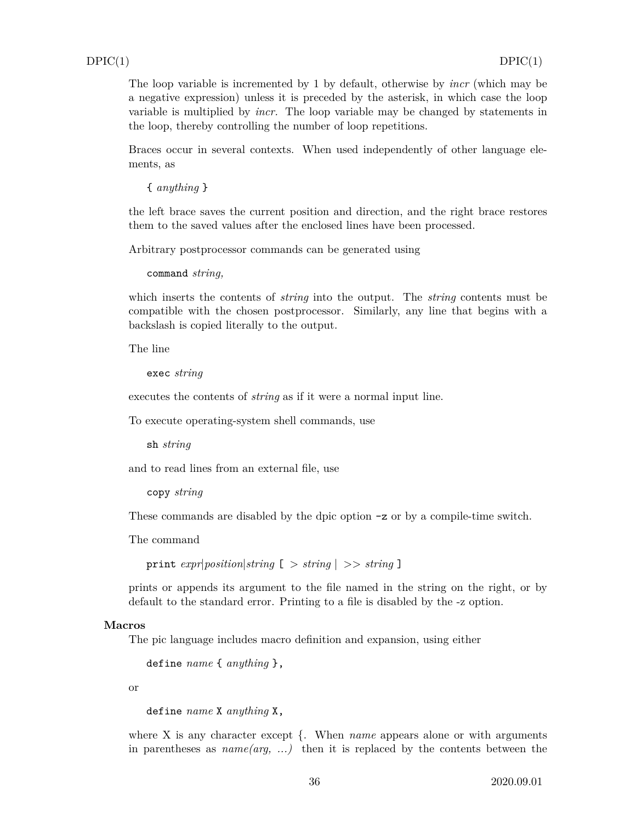The loop variable is incremented by 1 by default, otherwise by *incr* (which may be a negative expression) unless it is preceded by the asterisk, in which case the loop variable is multiplied by *incr.* The loop variable may be changed by statements in the loop, thereby controlling the number of loop repetitions.

Braces occur in several contexts. When used independently of other language elements, as

{ *anything* }

the left brace saves the current position and direction, and the right brace restores them to the saved values after the enclosed lines have been processed.

Arbitrary postprocessor commands can be generated using

command *string,*

which inserts the contents of *string* into the output. The *string* contents must be compatible with the chosen postprocessor. Similarly, any line that begins with a backslash is copied literally to the output.

The line

exec *string*

executes the contents of *string* as if it were a normal input line.

To execute operating-system shell commands, use

sh *string*

and to read lines from an external file, use

copy *string*

These commands are disabled by the dpic option -z or by a compile-time switch.

The command

print *expr*|*position*|*string* [ *> string* | *>> string* ]

prints or appends its argument to the file named in the string on the right, or by default to the standard error. Printing to a file is disabled by the -z option.

#### **Macros**

The pic language includes macro definition and expansion, using either

define *name* { *anything* },

or

define *name* X *anything* X,

where X is any character except {. When *name* appears alone or with arguments in parentheses as *name(arg, ...)* then it is replaced by the contents between the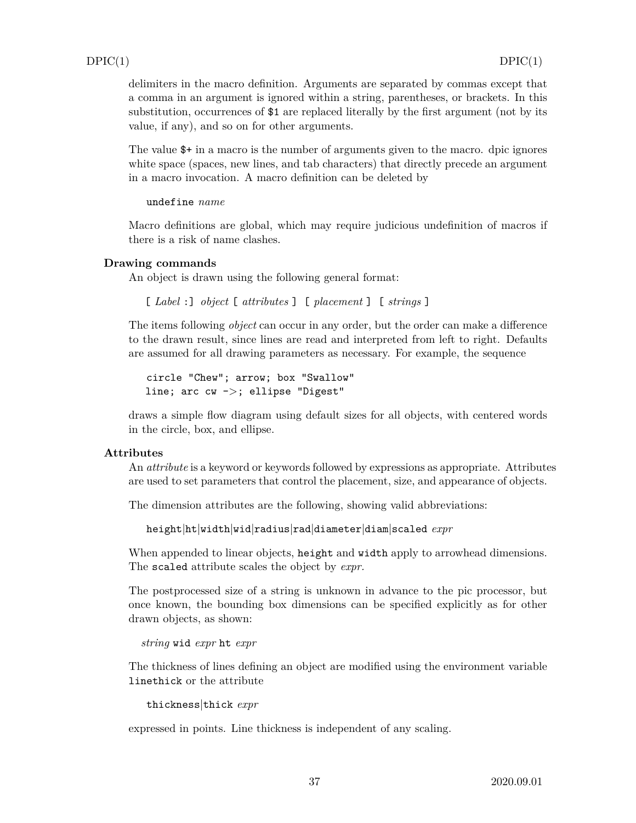delimiters in the macro definition. Arguments are separated by commas except that a comma in an argument is ignored within a string, parentheses, or brackets. In this substitution, occurrences of \$1 are replaced literally by the first argument (not by its value, if any), and so on for other arguments.

The value \$+ in a macro is the number of arguments given to the macro. dpic ignores white space (spaces, new lines, and tab characters) that directly precede an argument in a macro invocation. A macro definition can be deleted by

```
undefine name
```
Macro definitions are global, which may require judicious undefinition of macros if there is a risk of name clashes.

#### **Drawing commands**

An object is drawn using the following general format:

[ *Label* :] *object* [ *attributes* ] [ *placement* ] [ *strings* ]

The items following *object* can occur in any order, but the order can make a difference to the drawn result, since lines are read and interpreted from left to right. Defaults are assumed for all drawing parameters as necessary. For example, the sequence

circle "Chew"; arrow; box "Swallow" line; arc cw -*>*; ellipse "Digest"

draws a simple flow diagram using default sizes for all objects, with centered words in the circle, box, and ellipse.

#### **Attributes**

An *attribute* is a keyword or keywords followed by expressions as appropriate. Attributes are used to set parameters that control the placement, size, and appearance of objects.

The dimension attributes are the following, showing valid abbreviations:

height|ht|width|wid|radius|rad|diameter|diam|scaled *expr*

When appended to linear objects, height and width apply to arrowhead dimensions. The scaled attribute scales the object by *expr.*

The postprocessed size of a string is unknown in advance to the pic processor, but once known, the bounding box dimensions can be specified explicitly as for other drawn objects, as shown:

*string* wid *expr* ht *expr*

The thickness of lines defining an object are modified using the environment variable linethick or the attribute

thickness|thick *expr*

expressed in points. Line thickness is independent of any scaling.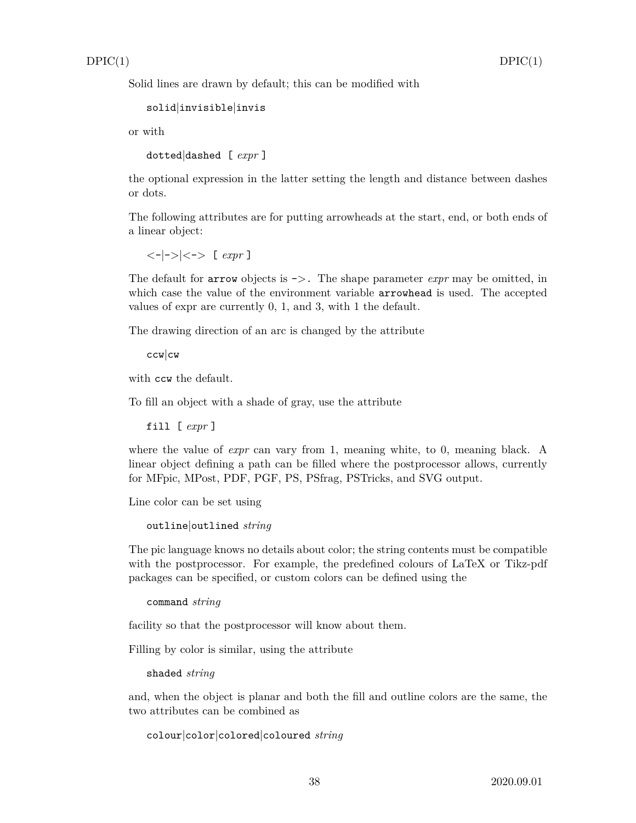Solid lines are drawn by default; this can be modified with

```
solid|invisible|invis
```
or with

dotted|dashed [ *expr* ]

the optional expression in the latter setting the length and distance between dashes or dots.

The following attributes are for putting arrowheads at the start, end, or both ends of a linear object:

*<*-|-*>*|*<*-*>* [ *expr* ]

The default for arrow objects is -*>*. The shape parameter *expr* may be omitted, in which case the value of the environment variable **arrowhead** is used. The accepted values of expr are currently 0, 1, and 3, with 1 the default.

The drawing direction of an arc is changed by the attribute

```
ccw|cw
```
with ccw the default.

To fill an object with a shade of gray, use the attribute

fill [ *expr* ]

where the value of *expr* can vary from 1, meaning white, to 0, meaning black. A linear object defining a path can be filled where the postprocessor allows, currently for MFpic, MPost, PDF, PGF, PS, PSfrag, PSTricks, and SVG output.

Line color can be set using

```
outline|outlined string
```
The pic language knows no details about color; the string contents must be compatible with the postprocessor. For example, the predefined colours of LaTeX or Tikz-pdf packages can be specified, or custom colors can be defined using the

```
command string
```
facility so that the postprocessor will know about them.

Filling by color is similar, using the attribute

shaded *string*

and, when the object is planar and both the fill and outline colors are the same, the two attributes can be combined as

colour|color|colored|coloured *string*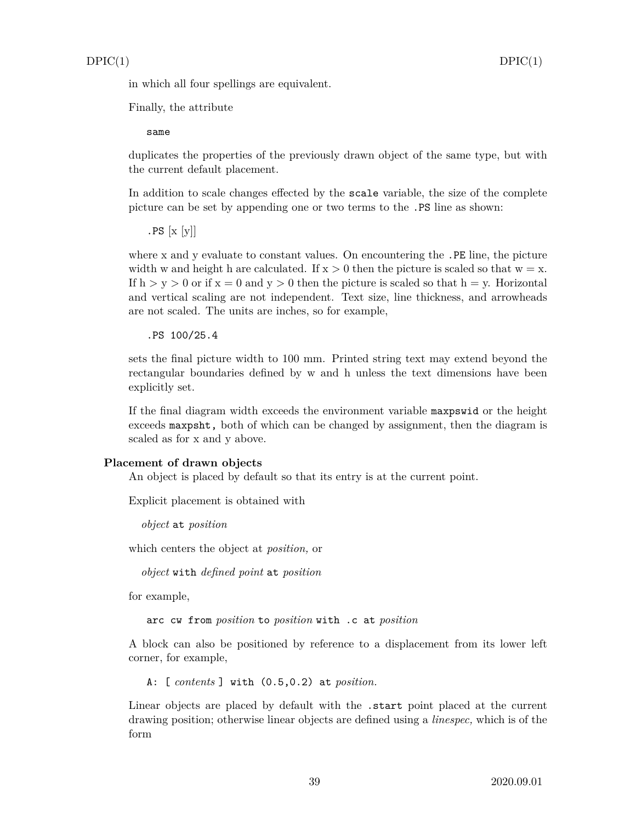in which all four spellings are equivalent.

Finally, the attribute

same

duplicates the properties of the previously drawn object of the same type, but with the current default placement.

In addition to scale changes effected by the scale variable, the size of the complete picture can be set by appending one or two terms to the .PS line as shown:

 $PS [x [y]]$ 

where x and y evaluate to constant values. On encountering the .PE line, the picture width w and height h are calculated. If  $x > 0$  then the picture is scaled so that  $w = x$ . If  $h > y > 0$  or if  $x = 0$  and  $y > 0$  then the picture is scaled so that  $h = y$ . Horizontal and vertical scaling are not independent. Text size, line thickness, and arrowheads are not scaled. The units are inches, so for example,

.PS 100/25.4

sets the final picture width to 100 mm. Printed string text may extend beyond the rectangular boundaries defined by w and h unless the text dimensions have been explicitly set.

If the final diagram width exceeds the environment variable maxpswid or the height exceeds maxpsht, both of which can be changed by assignment, then the diagram is scaled as for x and y above.

#### **Placement of drawn objects**

An object is placed by default so that its entry is at the current point.

Explicit placement is obtained with

*object* at *position*

which centers the object at *position,* or

*object* with *defined point* at *position*

for example,

arc cw from *position* to *position* with .c at *position*

A block can also be positioned by reference to a displacement from its lower left corner, for example,

A: [ *contents* ] with (0.5,0.2) at *position.*

Linear objects are placed by default with the .start point placed at the current drawing position; otherwise linear objects are defined using a *linespec,* which is of the form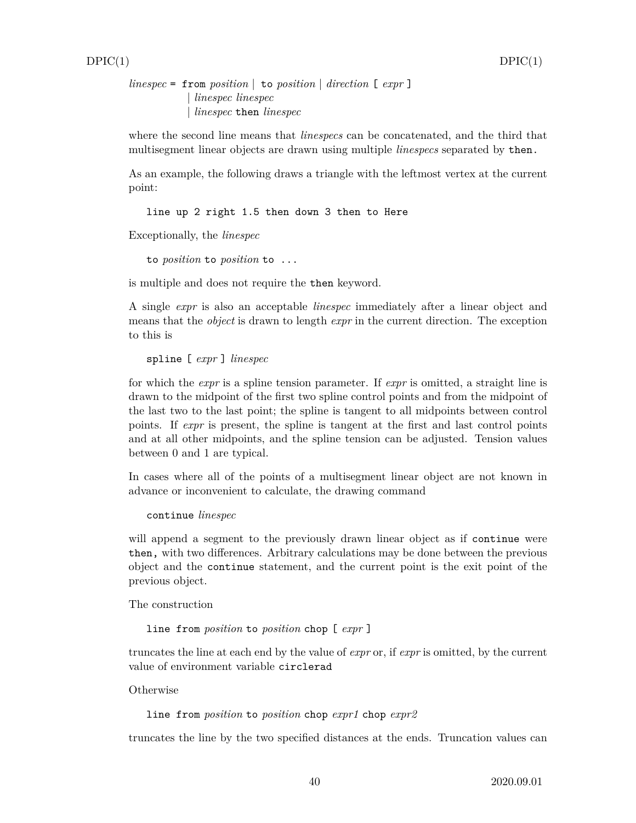*linespec* = from *position* | to *position* | *direction* [ *expr* ] | *linespec linespec* | *linespec* then *linespec*

where the second line means that *linespecs* can be concatenated, and the third that multisegment linear objects are drawn using multiple *linespecs* separated by then.

As an example, the following draws a triangle with the leftmost vertex at the current point:

line up 2 right 1.5 then down 3 then to Here

Exceptionally, the *linespec*

to *position* to *position* to ...

is multiple and does not require the then keyword.

A single *expr* is also an acceptable *linespec* immediately after a linear object and means that the *object* is drawn to length *expr* in the current direction. The exception to this is

```
spline [ expr ] linespec
```
for which the *expr* is a spline tension parameter. If *expr* is omitted, a straight line is drawn to the midpoint of the first two spline control points and from the midpoint of the last two to the last point; the spline is tangent to all midpoints between control points. If *expr* is present, the spline is tangent at the first and last control points and at all other midpoints, and the spline tension can be adjusted. Tension values between 0 and 1 are typical.

In cases where all of the points of a multisegment linear object are not known in advance or inconvenient to calculate, the drawing command

continue *linespec*

will append a segment to the previously drawn linear object as if continue were then, with two differences. Arbitrary calculations may be done between the previous object and the continue statement, and the current point is the exit point of the previous object.

The construction

```
line from position to position chop [ expr ]
```
truncates the line at each end by the value of *expr* or, if *expr* is omitted, by the current value of environment variable circlerad

**Otherwise** 

line from *position* to *position* chop *expr1* chop *expr2*

truncates the line by the two specified distances at the ends. Truncation values can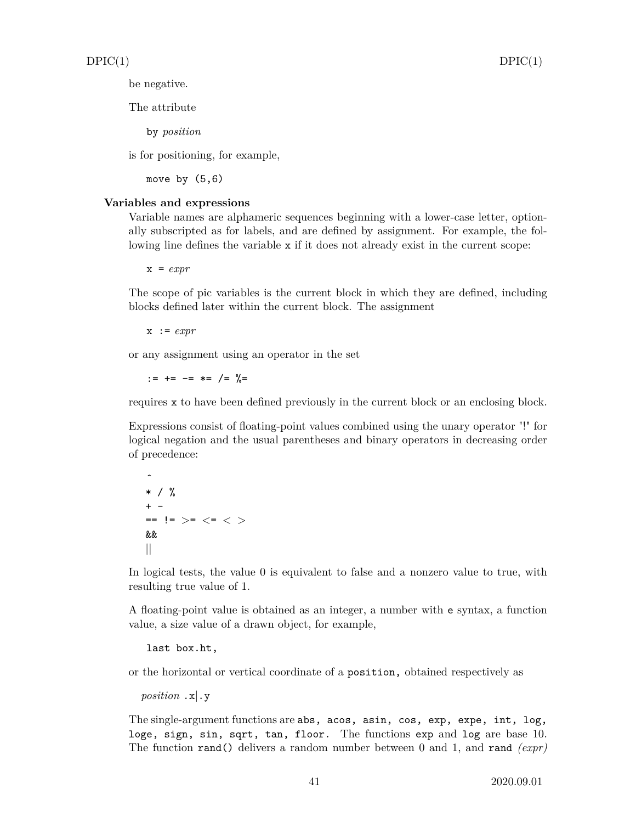be negative.

The attribute

by *position*

is for positioning, for example,

move by  $(5,6)$ 

#### **Variables and expressions**

Variable names are alphameric sequences beginning with a lower-case letter, optionally subscripted as for labels, and are defined by assignment. For example, the following line defines the variable x if it does not already exist in the current scope:

x = *expr*

The scope of pic variables is the current block in which they are defined, including blocks defined later within the current block. The assignment

x := *expr*

or any assignment using an operator in the set

:=  $+=$   $-=$   $*=$   $/=$   $\frac{9}{6}$ 

requires x to have been defined previously in the current block or an enclosing block.

Expressions consist of floating-point values combined using the unary operator "!" for logical negation and the usual parentheses and binary operators in decreasing order of precedence:

ˆ \* / %  $+ -$ == != *>*= *<*= *< >* && ||

In logical tests, the value 0 is equivalent to false and a nonzero value to true, with resulting true value of 1.

A floating-point value is obtained as an integer, a number with e syntax, a function value, a size value of a drawn object, for example,

last box.ht,

or the horizontal or vertical coordinate of a position, obtained respectively as

```
position .x|.y
```
The single-argument functions are abs, acos, asin, cos, exp, expe, int, log, loge, sign, sin, sqrt, tan, floor. The functions exp and log are base 10. The function rand() delivers a random number between 0 and 1, and rand *(expr)*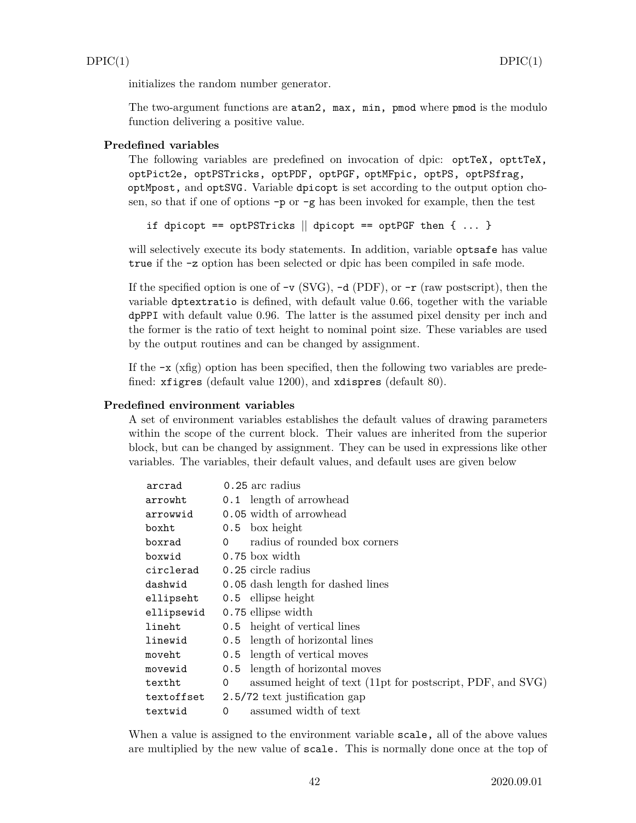initializes the random number generator.

The two-argument functions are atan2, max, min, pmod where pmod is the modulo function delivering a positive value.

#### **Predefined variables**

The following variables are predefined on invocation of dpic: optTeX, opttTeX, optPict2e, optPSTricks, optPDF, optPGF, optMFpic, optPS, optPSfrag, optMpost, and optSVG. Variable dpicopt is set according to the output option chosen, so that if one of options -p or -g has been invoked for example, then the test

if dpicopt == optPSTricks  $\parallel$  dpicopt == optPGF then { ... }

will selectively execute its body statements. In addition, variable optsafe has value true if the -z option has been selected or dpic has been compiled in safe mode.

If the specified option is one of  $-v$  (SVG),  $-d$  (PDF), or  $-r$  (raw postscript), then the variable dptextratio is defined, with default value 0.66, together with the variable dpPPI with default value 0.96. The latter is the assumed pixel density per inch and the former is the ratio of text height to nominal point size. These variables are used by the output routines and can be changed by assignment.

If the  $-x$  (xfig) option has been specified, then the following two variables are predefined: xfigres (default value 1200), and xdispres (default 80).

#### **Predefined environment variables**

A set of environment variables establishes the default values of drawing parameters within the scope of the current block. Their values are inherited from the superior block, but can be changed by assignment. They can be used in expressions like other variables. The variables, their default values, and default uses are given below

| arcrad     |          | 0.25 arc radius                                            |
|------------|----------|------------------------------------------------------------|
| arrowht    |          | 0.1 length of arrowhead                                    |
| arrowwid   |          | 0.05 width of arrowhead                                    |
| boxht      |          | $0.5$ box height                                           |
| boxrad     | $\Omega$ | radius of rounded box corners                              |
| boxwid     |          | 0.75 box width                                             |
| circlerad  |          | 0.25 circle radius                                         |
| dashwid    |          | 0.05 dash length for dashed lines                          |
| ellipseht  |          | 0.5 ellipse height                                         |
| ellipsewid |          | 0.75 ellipse width                                         |
| lineht     |          | 0.5 height of vertical lines                               |
| linewid    |          | 0.5 length of horizontal lines                             |
| moveht     |          | 0.5 length of vertical moves                               |
| movewid    |          | 0.5 length of horizontal moves                             |
| textht     | 0        | assumed height of text (11pt for postscript, PDF, and SVG) |
| textoffset |          | 2.5/72 text justification gap                              |
| textwid    | 0        | assumed width of text                                      |

When a value is assigned to the environment variable scale, all of the above values are multiplied by the new value of scale. This is normally done once at the top of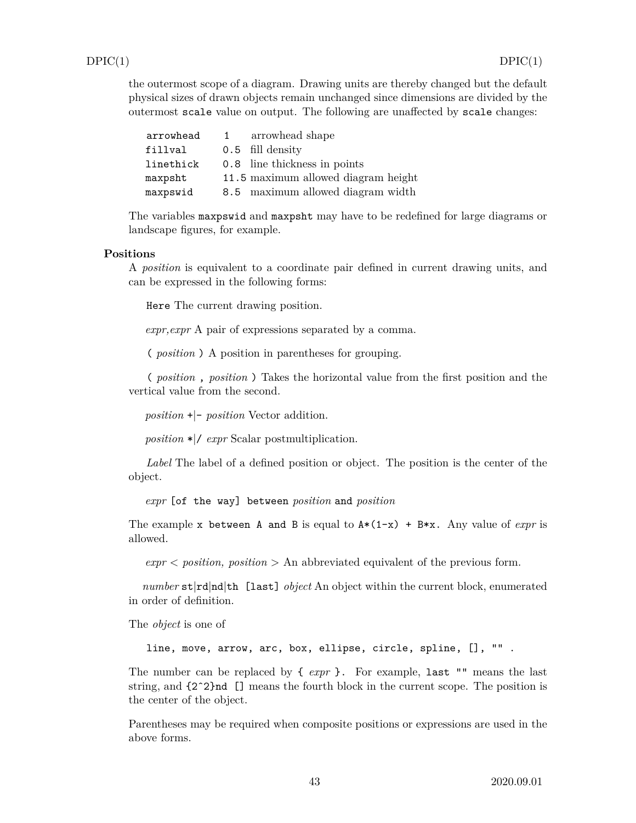the outermost scope of a diagram. Drawing units are thereby changed but the default physical sizes of drawn objects remain unchanged since dimensions are divided by the outermost scale value on output. The following are unaffected by scale changes:

| arrowhead | 1 arrowhead shape                   |
|-----------|-------------------------------------|
| fillval   | 0.5 fill density                    |
| linethick | 0.8 line thickness in points        |
| maxpsht   | 11.5 maximum allowed diagram height |
| maxpswid  | 8.5 maximum allowed diagram width   |

The variables maxpswid and maxpsht may have to be redefined for large diagrams or landscape figures, for example.

#### **Positions**

A *position* is equivalent to a coordinate pair defined in current drawing units, and can be expressed in the following forms:

Here The current drawing position.

*expr,expr* A pair of expressions separated by a comma.

( *position* ) A position in parentheses for grouping.

( *position* , *position* ) Takes the horizontal value from the first position and the vertical value from the second.

*position* +|- *position* Vector addition.

*position* \*|/ *expr* Scalar postmultiplication.

*Label* The label of a defined position or object. The position is the center of the object.

*expr* [of the way] between *position* and *position*

The example x between A and B is equal to  $A*(1-x) + B*x$ . Any value of *expr* is allowed.

 $\textit{expr} \leq \textit{position}, \textit{position} > A_n \text{ abbreviated equivalent of the previous form}.$ 

*number* st|rd|nd|th [last] *object* An object within the current block, enumerated in order of definition.

The *object* is one of

line, move, arrow, arc, box, ellipse, circle, spline, [], "" .

The number can be replaced by { *expr* }. For example, last "" means the last string, and {2ˆ2}nd [] means the fourth block in the current scope. The position is the center of the object.

Parentheses may be required when composite positions or expressions are used in the above forms.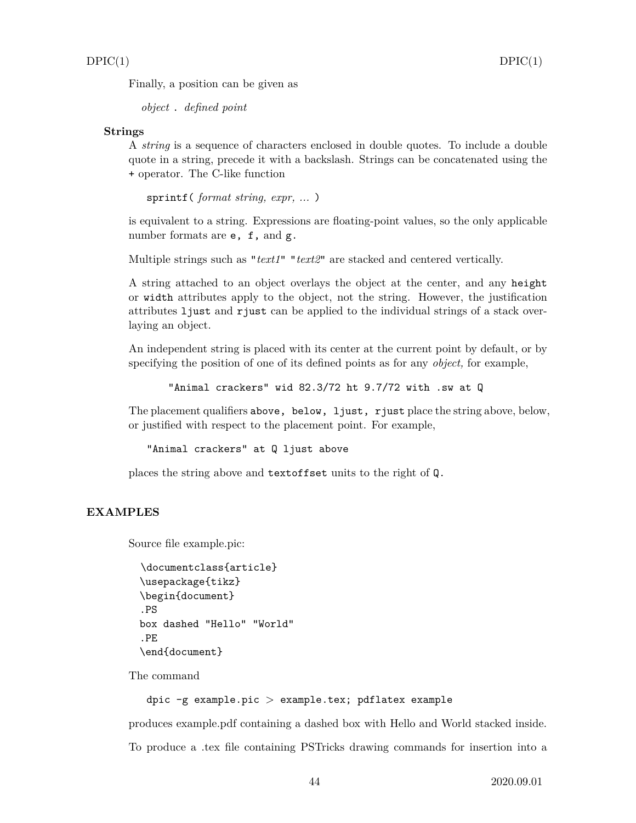Finally, a position can be given as

*object* . *defined point*

#### **Strings**

A *string* is a sequence of characters enclosed in double quotes. To include a double quote in a string, precede it with a backslash. Strings can be concatenated using the + operator. The C-like function

sprintf( *format string, expr, ...* )

is equivalent to a string. Expressions are floating-point values, so the only applicable number formats are **e**, **f**, and **g**.

Multiple strings such as "*text1*" "*text2*" are stacked and centered vertically.

A string attached to an object overlays the object at the center, and any height or width attributes apply to the object, not the string. However, the justification attributes ljust and rjust can be applied to the individual strings of a stack overlaying an object.

An independent string is placed with its center at the current point by default, or by specifying the position of one of its defined points as for any *object,* for example,

"Animal crackers" wid 82.3/72 ht 9.7/72 with .sw at Q

The placement qualifiers above, below, ljust, rjust place the string above, below, or justified with respect to the placement point. For example,

"Animal crackers" at Q ljust above

places the string above and textoffset units to the right of Q.

#### **EXAMPLES**

Source file example.pic:

```
\documentclass{article}
\usepackage{tikz}
\begin{document}
.PS
box dashed "Hello" "World"
.PE
\end{document}
```
The command

#### dpic -g example.pic *>* example.tex; pdflatex example

produces example.pdf containing a dashed box with Hello and World stacked inside. To produce a .tex file containing PSTricks drawing commands for insertion into a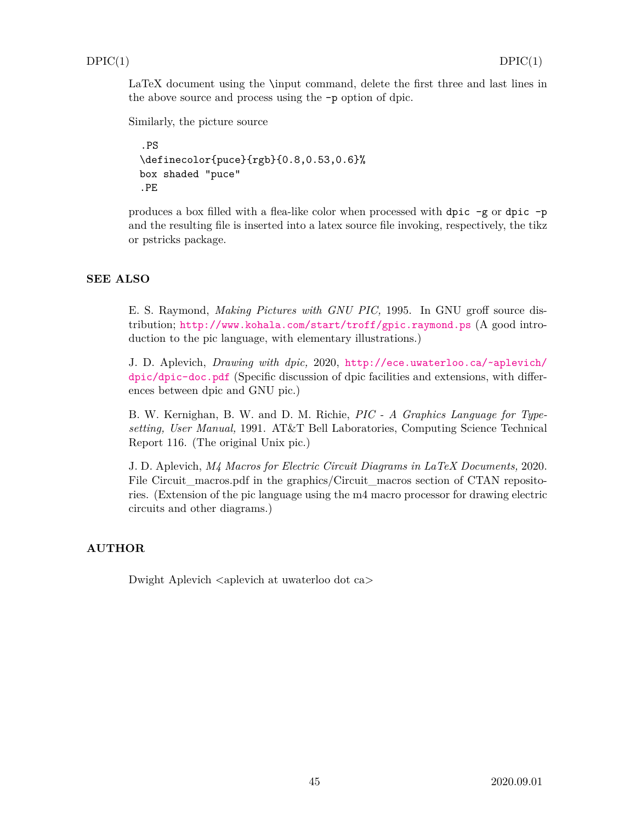LaTeX document using the \input command, delete the first three and last lines in the above source and process using the -p option of dpic.

Similarly, the picture source

```
.PS
\definecolor{puce}{rgb}{0.8,0.53,0.6}%
box shaded "puce"
.PE
```
produces a box filled with a flea-like color when processed with dpic -g or dpic -p and the resulting file is inserted into a latex source file invoking, respectively, the tikz or pstricks package.

### **SEE ALSO**

E. S. Raymond, *Making Pictures with GNU PIC,* 1995. In GNU groff source distribution; <http://www.kohala.com/start/troff/gpic.raymond.ps> (A good introduction to the pic language, with elementary illustrations.)

J. D. Aplevich, *Drawing with dpic,* 2020, [http://ece.uwaterloo.ca/~aplevich/](http://ece.uwaterloo.ca/~aplevich/dpic/dpic-doc.pdf) [dpic/dpic-doc.pdf](http://ece.uwaterloo.ca/~aplevich/dpic/dpic-doc.pdf) (Specific discussion of dpic facilities and extensions, with differences between dpic and GNU pic.)

B. W. Kernighan, B. W. and D. M. Richie, *PIC - A Graphics Language for Typesetting, User Manual,* 1991. AT&T Bell Laboratories, Computing Science Technical Report 116. (The original Unix pic.)

J. D. Aplevich, *M4 Macros for Electric Circuit Diagrams in LaTeX Documents,* 2020. File Circuit macros.pdf in the graphics/Circuit macros section of CTAN repositories. (Extension of the pic language using the m4 macro processor for drawing electric circuits and other diagrams.)

#### **AUTHOR**

Dwight Aplevich *<*aplevich at uwaterloo dot ca*>*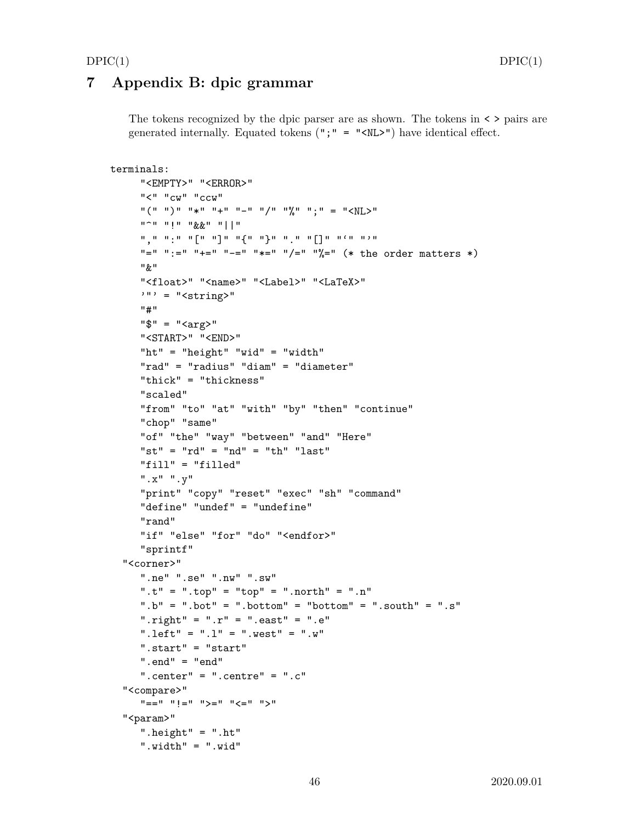## <span id="page-45-0"></span>**7 Appendix B: dpic grammar**

The tokens recognized by the dpic parser are as shown. The tokens in < > pairs are generated internally. Equated tokens  $("," = "")$  have identical effect.

```
terminals:
     "<EMPTY>" "<ERROR>"
     "<" "cw" "ccw"
     ''(" ")" "*" "+" "-" "/" "%" ";" = "<NL>"
     "^" "!" "&&" "||"
     "," ":" "[" "]" "{" "}" "." "[]" "'" "'"
     "=" ":=" "+=" "-=" "*=" "/=" "%=" (* the order matters *)
     " & "
     "<float>" "<name>" "<Label>" "<LaTeX>"
     ''' = "\langlestring>"
     "#"
     "\" = "<<math>arg</math>?"
     "<START>" "<END>"
     "ht" = "height" "wid" = "width"
     "rad" = "radius" "diam" = "diameter"
     "thick" = "thickness"
     "scaled"
     "from" "to" "at" "with" "by" "then" "continue"
     "chop" "same"
     "of" "the" "way" "between" "and" "Here"
     "st" = "rd" = "nd" = "th" "last""fill" = "filled"
     ".x" ".y"
     "print" "copy" "reset" "exec" "sh" "command"
     "define" "undef" = "undefine"
     "rand"
     "if" "else" "for" "do" "<endfor>"
     "sprintf"
  "<corner>"
     ".ne" ".se" ".nw" ".sw"
     ".t" = ".top" = "top" = ".north" = ".n"
     ".b" = ".bot" = ".bottom" = "bottom" = ".south" = ".s"
     ".right" = ".r" = ".east" = ".e"
     ".left" = ".l" = ".west" = ".w"
     ".start" = "start"
     " . end" = "end"".center" = ".centre" = ".c"
  "<compare>"
     " == " " " != " " > = " " " < = " " " > ""<param>"
     ".height" = ".ht"
     ".width" = ".wid"
```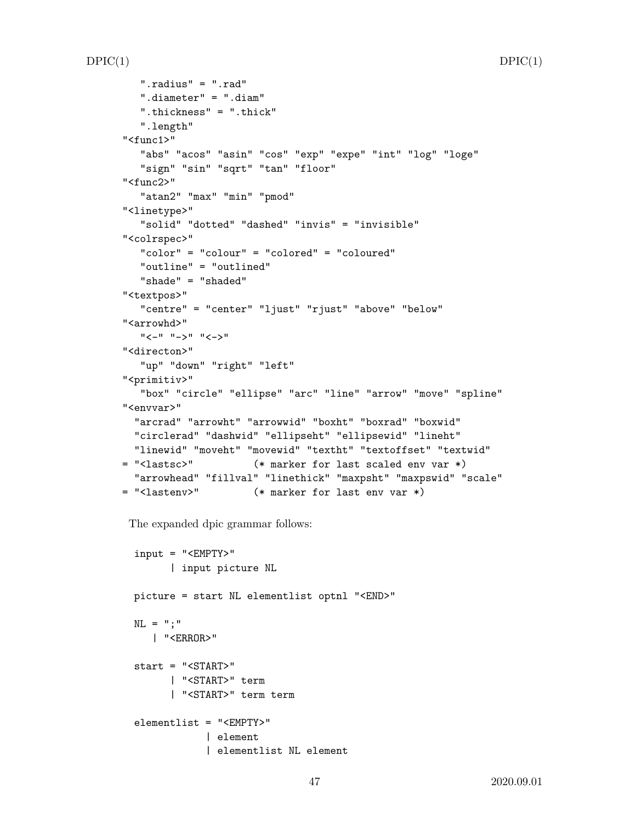```
".radius" = ".rad"
   ".diameter" = ".diam"
   ".thickness" = ".thick"
   ".length"
"<func1>"
   "abs" "acos" "asin" "cos" "exp" "expe" "int" "log" "loge"
   "sign" "sin" "sqrt" "tan" "floor"
"<func2>"
   "atan2" "max" "min" "pmod"
"<linetype>"
   "solid" "dotted" "dashed" "invis" = "invisible"
"<colrspec>"
   "color" = "colour" = "colored" = "coloured"
   "outline" = "outlined"
   "shade" = "shaded"
"<textpos>"
   "centre" = "center" "ljust" "rjust" "above" "below"
"<arrowhd>"
   "<-" "->" "<->"
"<directon>"
   "up" "down" "right" "left"
"<primitiv>"
   "box" "circle" "ellipse" "arc" "line" "arrow" "move" "spline"
"<envvar>"
  "arcrad" "arrowht" "arrowwid" "boxht" "boxrad" "boxwid"
  "circlerad" "dashwid" "ellipseht" "ellipsewid" "lineht"
  "linewid" "moveht" "movewid" "textht" "textoffset" "textwid"
= "<lastsc>" (* marker for last scaled env var *)
  "arrowhead" "fillval" "linethick" "maxpsht" "maxpswid" "scale"
= "<lastenv>" (* marker for last env var *)
```
The expanded dpic grammar follows:

```
input = "<EMPTY>"
      | input picture NL
picture = start NL elementlist optnl "<END>"
NL = ";"
   | "<ERROR>"
start = "<START>"
      | "<START>" term
      | "<START>" term term
elementlist = "<EMPTY>"
            | element
            | elementlist NL element
```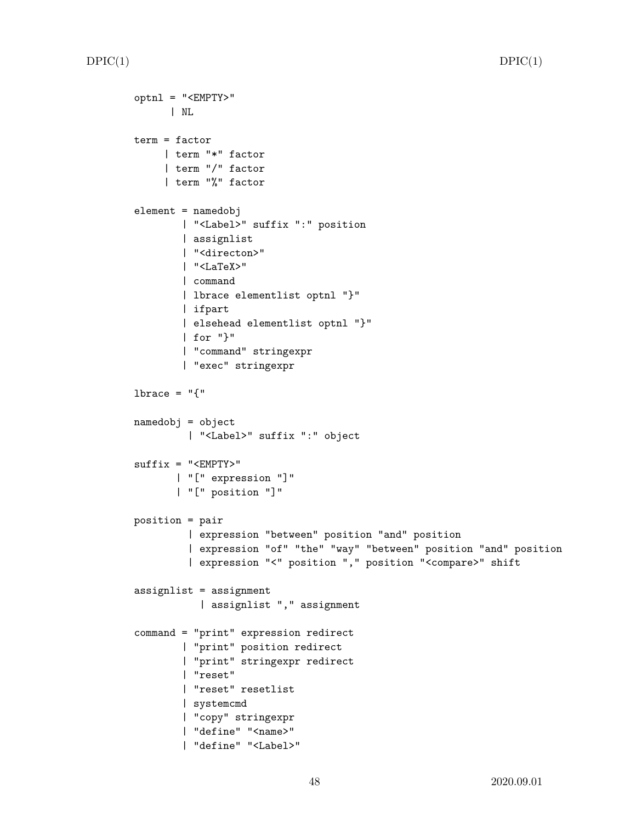```
optnl = "<EMPTY>"
      | NL
term = factor
     | term "*" factor
     | term "/" factor
     | term "%" factor
element = namedobj
        | "<Label>" suffix ":" position
        | assignlist
        | "<directon>"
        | "<LaTeX>"
        | command
        | lbrace elementlist optnl "}"
        | ifpart
        | elsehead elementlist optnl "}"
        | for "}"
        | "command" stringexpr
        | "exec" stringexpr
1brace = "\{"
namedobj = object
         | "<Label>" suffix ":" object
suffix = "<EMPTY>"
       | "[" expression "]"
       | "[" position "]"
position = pair
         | expression "between" position "and" position
         | expression "of" "the" "way" "between" position "and" position
         | expression "<" position "," position "<compare>" shift
assignlist = assignment
           | assignlist "," assignment
command = "print" expression redirect
        | "print" position redirect
        | "print" stringexpr redirect
        | "reset"
        | "reset" resetlist
        | systemcmd
        | "copy" stringexpr
        | "define" "<name>"
        | "define" "<Label>"
```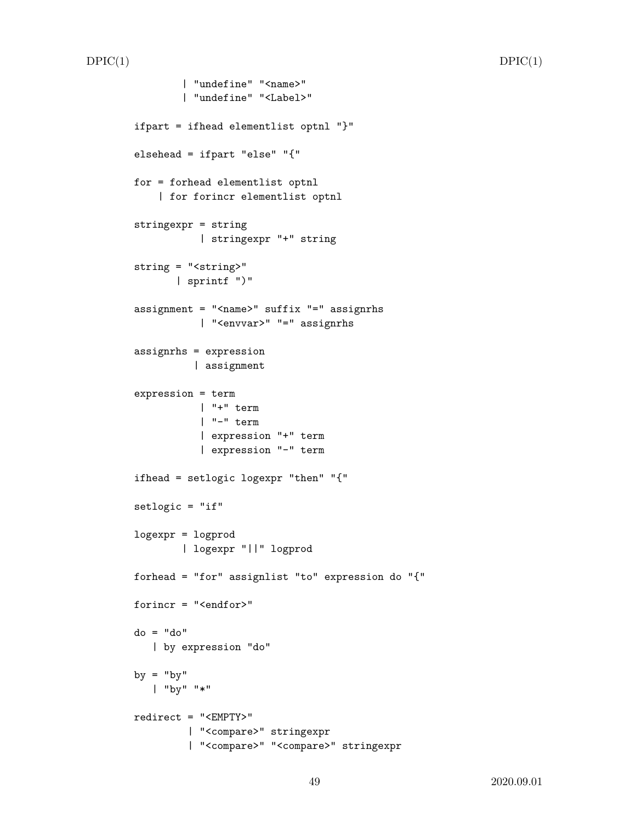```
| "undefine" "<name>"
        | "undefine" "<Label>"
ifpart = ifhead elementlist optnl "}"
elsehead = ifpart "else" "{"
for = forhead elementlist optnl
    | for forincr elementlist optnl
stringexpr = string
           | stringexpr "+" string
string = "<string>"
       | sprintf ")"
assignment = "<name>" suffix "=" assignrhs
           | "<envvar>" "=" assignrhs
assignrhs = expression
          | assignment
expression = term
           | "+" term
           | "-" term
           | expression "+" term
           | expression "-" term
ifhead = setlogic logexpr "then" "{"
setlogic = "if"
logexpr = logprod
        | logexpr "||" logprod
forhead = "for" assignlist "to" expression do "{"
forincr = "<endfor>"
do = "do"
   | by expression "do"
by = "by"| "by" "*"
redirect = "<EMPTY>"
        | "<compare>" stringexpr
         | "<compare>" "<compare>" stringexpr
```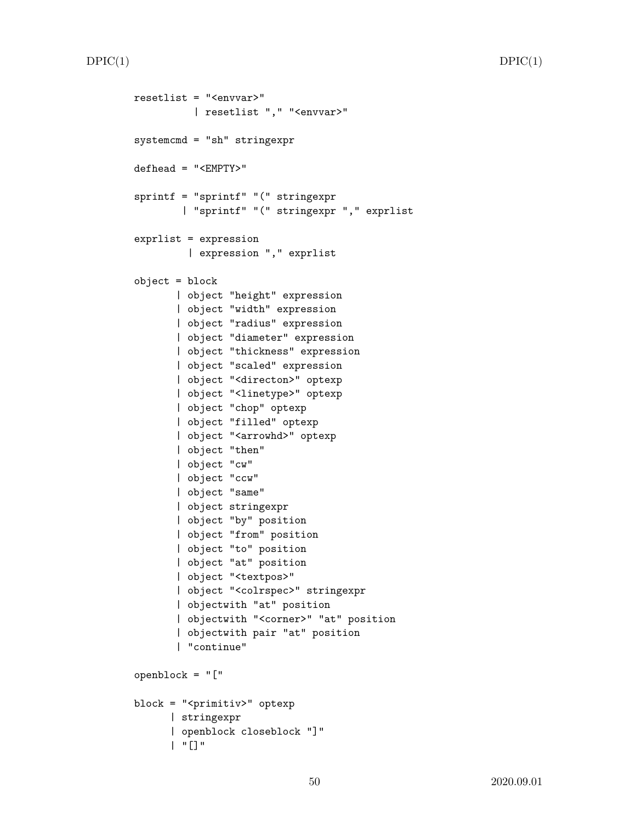```
resetlist = "<envvar>"
          | resetlist "," "<envvar>"
systemcmd = "sh" stringexpr
defhead = "<EMPTY>"
sprintf = "sprintf" "(" stringexpr
        | "sprintf" "(" stringexpr "," exprlist
exprlist = expression
         | expression "," exprlist
object = block
       | object "height" expression
       | object "width" expression
       | object "radius" expression
       | object "diameter" expression
       | object "thickness" expression
       | object "scaled" expression
       | object "<directon>" optexp
       | object "<linetype>" optexp
       | object "chop" optexp
       | object "filled" optexp
       | object "<arrowhd>" optexp
       | object "then"
       | object "cw"
       | object "ccw"
       | object "same"
       | object stringexpr
       | object "by" position
       | object "from" position
       | object "to" position
       | object "at" position
       | object "<textpos>"
       | object "<colrspec>" stringexpr
       | objectwith "at" position
       | objectwith "<corner>" "at" position
       | objectwith pair "at" position
       | "continue"
openblock = "["
block = "<primitiv>" optexp
      | stringexpr
      | openblock closeblock "]"
      | "[]"
```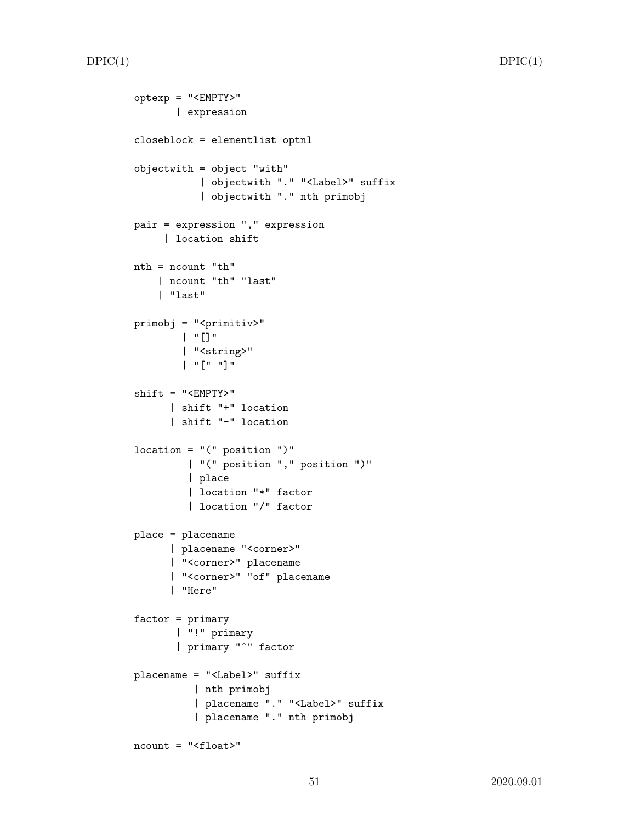```
optexp = "<EMPTY>"
       | expression
closeblock = elementlist optnl
objectwith = object "with"
           | objectwith "." "<Label>" suffix
           | objectwith "." nth primobj
pair = expression "," expression
     | location shift
nth = ncount "th"
    | ncount "th" "last"
    | "last"
primobj = "<primitiv>"
        | "[]"
        | "<string>"
        | "[" "]"
shift = "<EMPTY>"
      | shift "+" location
      | shift "-" location
location = "(" position ")"| "(" position "," position ")"
         | place
         | location "*" factor
         | location "/" factor
place = placename
      | placename "<corner>"
      | "<corner>" placename
      | "<corner>" "of" placename
      | "Here"
factor = primary
       | "!" primary
       | primary "^" factor
placename = "<Label>" suffix
          | nth primobj
          | placename "." "<Label>" suffix
          | placename "." nth primobj
ncount = "<float>"
```